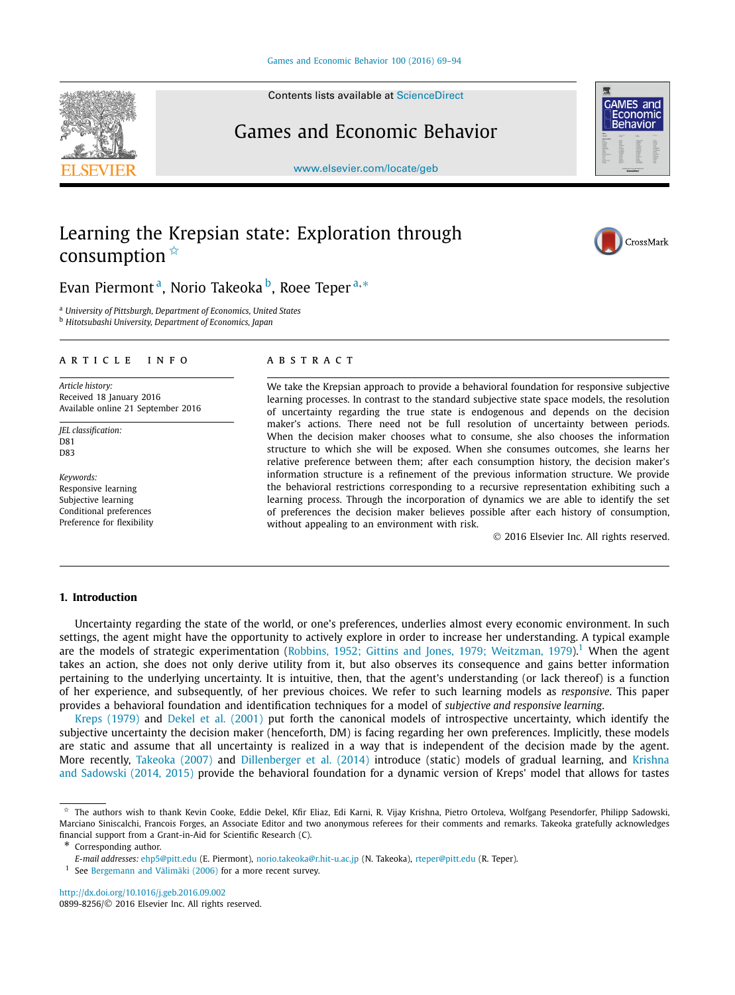Contents lists available at [ScienceDirect](http://www.ScienceDirect.com/)

# Games and Economic Behavior

[www.elsevier.com/locate/geb](http://www.elsevier.com/locate/geb)

# Learning the Krepsian state: Exploration through consumption  $\overline{X}$

Evan Piermont a, Norio Takeoka b, Roee Teper <sup>a</sup>*,*<sup>∗</sup>

<sup>a</sup> *University of Pittsburgh, Department of Economics, United States*

<sup>b</sup> *Hitotsubashi University, Department of Economics, Japan*

#### A R T I C L E I N F O A B S T R A C T

*Article history:* Received 18 January 2016 Available online 21 September 2016

*JEL classification:* D81 D83

*Keywords:* Responsive learning Subjective learning Conditional preferences Preference for flexibility

We take the Krepsian approach to provide a behavioral foundation for responsive subjective learning processes. In contrast to the standard subjective state space models, the resolution of uncertainty regarding the true state is endogenous and depends on the decision maker's actions. There need not be full resolution of uncertainty between periods. When the decision maker chooses what to consume, she also chooses the information structure to which she will be exposed. When she consumes outcomes, she learns her relative preference between them; after each consumption history, the decision maker's information structure is a refinement of the previous information structure. We provide the behavioral restrictions corresponding to a recursive representation exhibiting such a learning process. Through the incorporation of dynamics we are able to identify the set of preferences the decision maker believes possible after each history of consumption, without appealing to an environment with risk.

© 2016 Elsevier Inc. All rights reserved.

# **1. Introduction**

Uncertainty regarding the state of the world, or one's preferences, underlies almost every economic environment. In such settings, the agent might have the opportunity to actively explore in order to increase her understanding. A typical example are the models of strategic experimentation (Robbins, 1952; Gittins and Jones, [1979; Weitzman,](#page-25-0) 1979).<sup>1</sup> When the agent takes an action, she does not only derive utility from it, but also observes its consequence and gains better information pertaining to the underlying uncertainty. It is intuitive, then, that the agent's understanding (or lack thereof) is a function of her experience, and subsequently, of her previous choices. We refer to such learning models as *responsive*. This paper provides a behavioral foundation and identification techniques for a model of *subjective and responsive learning*.

[Kreps \(1979\)](#page-25-0) and Dekel et [al. \(2001\)](#page-25-0) put forth the canonical models of introspective uncertainty, which identify the subjective uncertainty the decision maker (henceforth, DM) is facing regarding her own preferences. Implicitly, these models are static and assume that all uncertainty is realized in a way that is independent of the decision made by the agent. More recently, [Takeoka \(2007\)](#page-25-0) and [Dillenberger](#page-25-0) et al. (2014) introduce (static) models of gradual learning, and [Krishna](#page-25-0) and [Sadowski](#page-25-0) (2014, 2015) provide the behavioral foundation for a dynamic version of Kreps' model that allows for tastes

\* Corresponding author.

<http://dx.doi.org/10.1016/j.geb.2016.09.002> 0899-8256/© 2016 Elsevier Inc. All rights reserved.







<sup>✩</sup> The authors wish to thank Kevin Cooke, Eddie Dekel, Kfir Eliaz, Edi Karni, R. Vijay Krishna, Pietro Ortoleva, Wolfgang Pesendorfer, Philipp Sadowski, Marciano Siniscalchi, Francois Forges, an Associate Editor and two anonymous referees for their comments and remarks. Takeoka gratefully acknowledges financial support from a Grant-in-Aid for Scientific Research (C).

*E-mail addresses:* [ehp5@pitt.edu](mailto:ehp5@pitt.edu) (E. Piermont), [norio.takeoka@r.hit-u.ac.jp](mailto:norio.takeoka@r.hit-u.ac.jp) (N. Takeoka), [rteper@pitt.edu](mailto:rteper@pitt.edu) (R. Teper).

<sup>&</sup>lt;sup>1</sup> See Bergemann and [Välimäki \(2006\)](#page-25-0) for a more recent survey.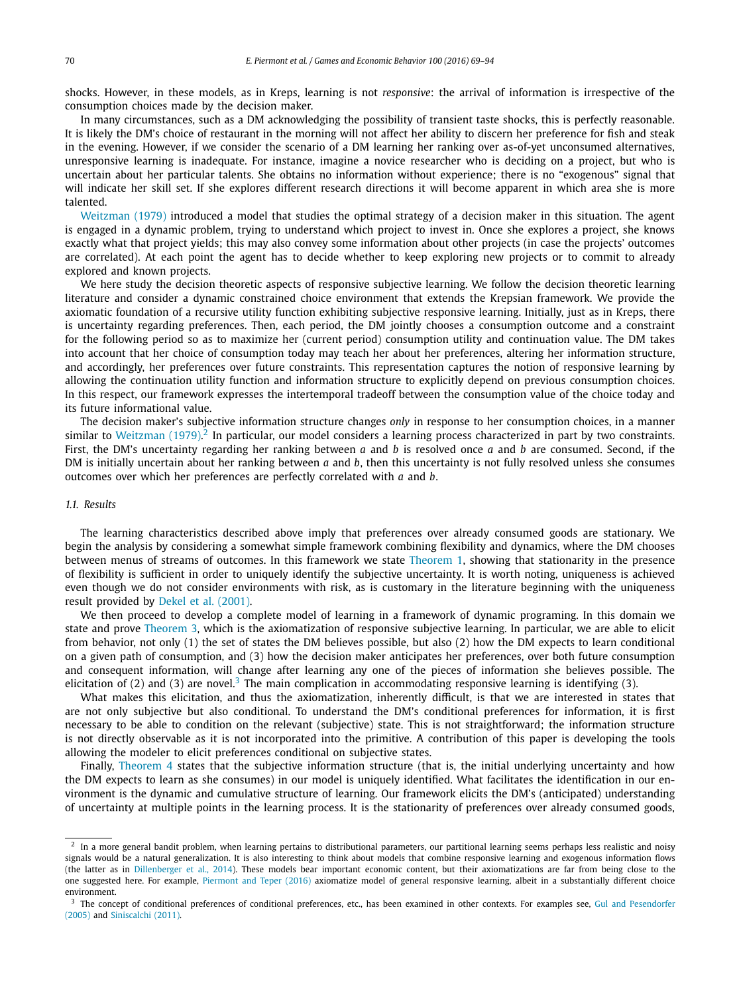shocks. However, in these models, as in Kreps, learning is not *responsive*: the arrival of information is irrespective of the consumption choices made by the decision maker.

In many circumstances, such as a DM acknowledging the possibility of transient taste shocks, this is perfectly reasonable. It is likely the DM's choice of restaurant in the morning will not affect her ability to discern her preference for fish and steak in the evening. However, if we consider the scenario of a DM learning her ranking over as-of-yet unconsumed alternatives, unresponsive learning is inadequate. For instance, imagine a novice researcher who is deciding on a project, but who is uncertain about her particular talents. She obtains no information without experience; there is no "exogenous" signal that will indicate her skill set. If she explores different research directions it will become apparent in which area she is more talented.

[Weitzman \(1979\)](#page-25-0) introduced a model that studies the optimal strategy of a decision maker in this situation. The agent is engaged in a dynamic problem, trying to understand which project to invest in. Once she explores a project, she knows exactly what that project yields; this may also convey some information about other projects (in case the projects' outcomes are correlated). At each point the agent has to decide whether to keep exploring new projects or to commit to already explored and known projects.

We here study the decision theoretic aspects of responsive subjective learning. We follow the decision theoretic learning literature and consider a dynamic constrained choice environment that extends the Krepsian framework. We provide the axiomatic foundation of a recursive utility function exhibiting subjective responsive learning. Initially, just as in Kreps, there is uncertainty regarding preferences. Then, each period, the DM jointly chooses a consumption outcome and a constraint for the following period so as to maximize her (current period) consumption utility and continuation value. The DM takes into account that her choice of consumption today may teach her about her preferences, altering her information structure, and accordingly, her preferences over future constraints. This representation captures the notion of responsive learning by allowing the continuation utility function and information structure to explicitly depend on previous consumption choices. In this respect, our framework expresses the intertemporal tradeoff between the consumption value of the choice today and its future informational value.

The decision maker's subjective information structure changes *only* in response to her consumption choices, in a manner similar to [Weitzman \(1979\).](#page-25-0) $^2$  In particular, our model considers a learning process characterized in part by two constraints. First, the DM's uncertainty regarding her ranking between *a* and *b* is resolved once *a* and *b* are consumed. Second, if the DM is initially uncertain about her ranking between *a* and *b*, then this uncertainty is not fully resolved unless she consumes outcomes over which her preferences are perfectly correlated with *a* and *b*.

## *1.1. Results*

The learning characteristics described above imply that preferences over already consumed goods are stationary. We begin the analysis by considering a somewhat simple framework combining flexibility and dynamics, where the DM chooses between menus of streams of outcomes. In this framework we state [Theorem 1,](#page-3-0) showing that stationarity in the presence of flexibility is sufficient in order to uniquely identify the subjective uncertainty. It is worth noting, uniqueness is achieved even though we do not consider environments with risk, as is customary in the literature beginning with the uniqueness result provided by Dekel et [al. \(2001\).](#page-25-0)

We then proceed to develop a complete model of learning in a framework of dynamic programing. In this domain we state and prove [Theorem 3,](#page-13-0) which is the axiomatization of responsive subjective learning. In particular, we are able to elicit from behavior, not only (1) the set of states the DM believes possible, but also (2) how the DM expects to learn conditional on a given path of consumption, and (3) how the decision maker anticipates her preferences, over both future consumption and consequent information, will change after learning any one of the pieces of information she believes possible. The elicitation of (2) and (3) are novel.<sup>3</sup> The main complication in accommodating responsive learning is identifying (3).

What makes this elicitation, and thus the axiomatization, inherently difficult, is that we are interested in states that are not only subjective but also conditional. To understand the DM's conditional preferences for information, it is first necessary to be able to condition on the relevant (subjective) state. This is not straightforward; the information structure is not directly observable as it is not incorporated into the primitive. A contribution of this paper is developing the tools allowing the modeler to elicit preferences conditional on subjective states.

Finally, [Theorem 4](#page-13-0) states that the subjective information structure (that is, the initial underlying uncertainty and how the DM expects to learn as she consumes) in our model is uniquely identified. What facilitates the identification in our environment is the dynamic and cumulative structure of learning. Our framework elicits the DM's (anticipated) understanding of uncertainty at multiple points in the learning process. It is the stationarity of preferences over already consumed goods,

<sup>2</sup> In a more general bandit problem, when learning pertains to distributional parameters, our partitional learning seems perhaps less realistic and noisy signals would be a natural generalization. It is also interesting to think about models that combine responsive learning and exogenous information flows (the latter as in [Dillenberger](#page-25-0) et al., 2014). These models bear important economic content, but their axiomatizations are far from being close to the one suggested here. For example, Piermont and [Teper \(2016\)](#page-25-0) axiomatize model of general responsive learning, albeit in a substantially different choice environment.

<sup>&</sup>lt;sup>3</sup> The concept of conditional preferences of conditional preferences, etc., has been examined in other contexts. For examples see, Gul and [Pesendorfer](#page-25-0) [\(2005\)](#page-25-0) and [Siniscalchi \(2011\).](#page-25-0)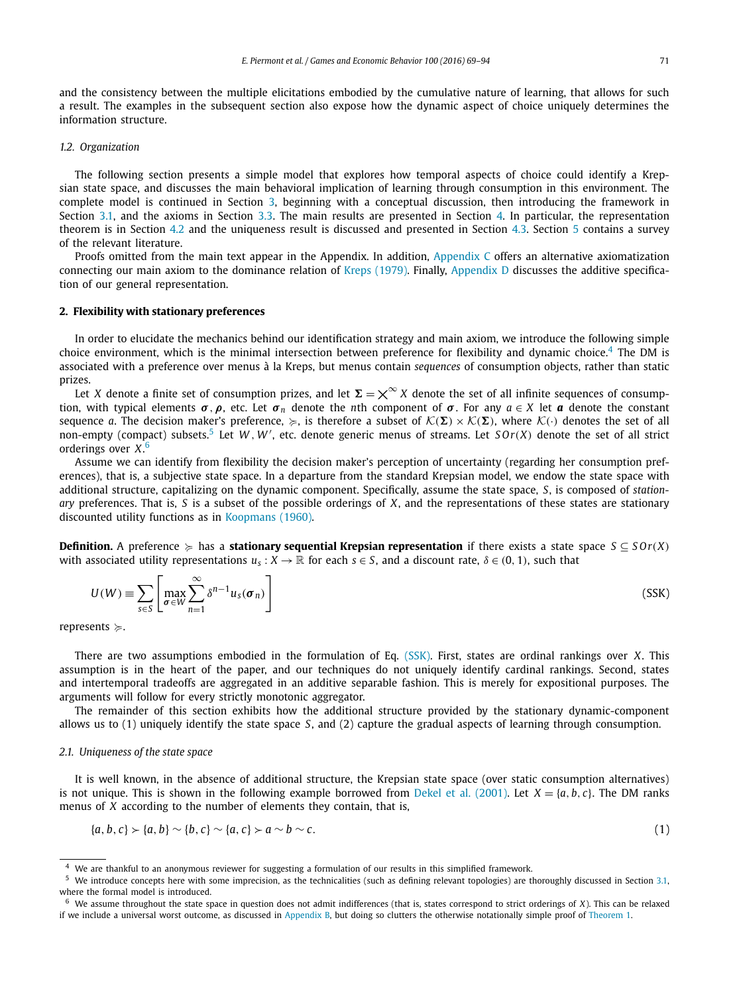<span id="page-2-0"></span>and the consistency between the multiple elicitations embodied by the cumulative nature of learning, that allows for such a result. The examples in the subsequent section also expose how the dynamic aspect of choice uniquely determines the information structure.

#### *1.2. Organization*

The following section presents a simple model that explores how temporal aspects of choice could identify a Krepsian state space, and discusses the main behavioral implication of learning through consumption in this environment. The complete model is continued in Section [3,](#page-6-0) beginning with a conceptual discussion, then introducing the framework in Section [3.1,](#page-7-0) and the axioms in Section [3.3.](#page-8-0) The main results are presented in Section [4.](#page-12-0) In particular, the representation theorem is in Section [4.2](#page-13-0) and the uniqueness result is discussed and presented in Section [4.3.](#page-13-0) Section [5](#page-14-0) contains a survey of the relevant literature.

Proofs omitted from the main text appear in the Appendix. In addition, [Appendix C](#page-23-0) offers an alternative axiomatization connecting our main axiom to the dominance relation of [Kreps \(1979\).](#page-25-0) Finally, [Appendix D](#page-24-0) discusses the additive specification of our general representation.

#### **2. Flexibility with stationary preferences**

In order to elucidate the mechanics behind our identification strategy and main axiom, we introduce the following simple choice environment, which is the minimal intersection between preference for flexibility and dynamic choice.<sup>4</sup> The DM is associated with a preference over menus à la Kreps, but menus contain *sequences* of consumption objects, rather than static prizes.

Let *X* denote a finite set of consumption prizes, and let  $\Sigma = \times^\infty X$  denote the set of all infinite sequences of consumption, with typical elements *σ*, *ρ*, etc. Let  $σ_n$  denote the *n*th component of *σ*. For any  $a \in X$  let *a* denote the constant sequence *a*. The decision maker's preference,  $\succcurlyeq$ , is therefore a subset of  $\mathcal{K}(\Sigma) \times \mathcal{K}(\Sigma)$ , where  $\mathcal{K}(\cdot)$  denotes the set of all non-empty (compact) subsets.<sup>5</sup> Let *W , W* , etc. denote generic menus of streams. Let *SOr(X)* denote the set of all strict orderings over *X*. 6

Assume we can identify from flexibility the decision maker's perception of uncertainty (regarding her consumption preferences), that is, a subjective state space. In a departure from the standard Krepsian model, we endow the state space with additional structure, capitalizing on the dynamic component. Specifically, assume the state space, *S*, is composed of *stationary* preferences. That is, *S* is a subset of the possible orderings of *X*, and the representations of these states are stationary discounted utility functions as in [Koopmans \(1960\).](#page-25-0)

**Definition.** A preference  $\succcurlyeq$  has a **stationary sequential Krepsian representation** if there exists a state space  $S \subseteq SOr(X)$ with associated utility representations  $u_s: X \to \mathbb{R}$  for each  $s \in S$ , and a discount rate,  $\delta \in (0, 1)$ , such that

$$
U(W) = \sum_{s \in S} \left[ \max_{\sigma \in W} \sum_{n=1}^{\infty} \delta^{n-1} u_s(\sigma_n) \right]
$$
 (SSK)

represents  $\succcurlyeq$  .

There are two assumptions embodied in the formulation of Eq. (SSK). First, states are ordinal rankings over *X*. This assumption is in the heart of the paper, and our techniques do not uniquely identify cardinal rankings. Second, states and intertemporal tradeoffs are aggregated in an additive separable fashion. This is merely for expositional purposes. The arguments will follow for every strictly monotonic aggregator.

The remainder of this section exhibits how the additional structure provided by the stationary dynamic-component allows us to (1) uniquely identify the state space *S*, and (2) capture the gradual aspects of learning through consumption.

#### *2.1. Uniqueness of the state space*

It is well known, in the absence of additional structure, the Krepsian state space (over static consumption alternatives) is not unique. This is shown in the following example borrowed from Dekel et [al. \(2001\).](#page-25-0) Let  $X = \{a, b, c\}$ . The DM ranks menus of *X* according to the number of elements they contain, that is,

$$
\{a, b, c\} \succ \{a, b\} \sim \{b, c\} \sim \{a, c\} \succ a \sim b \sim c. \tag{1}
$$

We are thankful to an anonymous reviewer for suggesting a formulation of our results in this simplified framework.

<sup>5</sup> We introduce concepts here with some imprecision, as the technicalities (such as defining relevant topologies) are thoroughly discussed in Section [3.1,](#page-7-0) where the formal model is introduced.

<sup>6</sup> We assume throughout the state space in question does not admit indifferences (that is, states correspond to strict orderings of *X*). This can be relaxed if we include a universal worst outcome, as discussed in [Appendix B,](#page-22-0) but doing so clutters the otherwise notationally simple proof of [Theorem 1.](#page-3-0)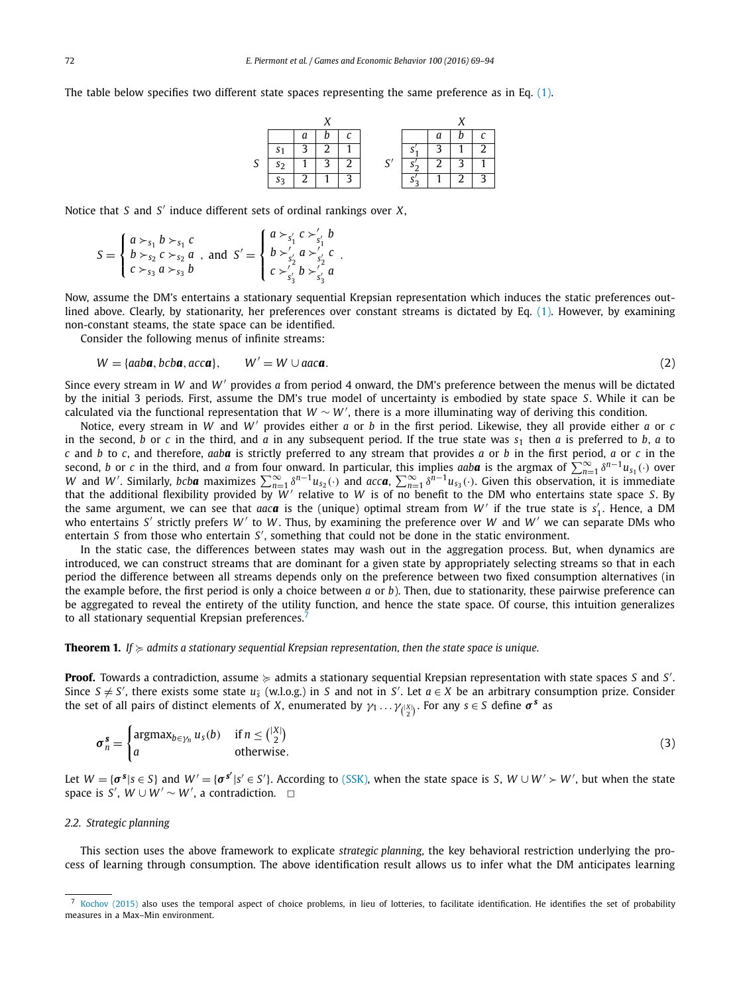<span id="page-3-0"></span>The table below specifies two different state spaces representing the same preference as in Eq. [\(1\).](#page-2-0)

| S | S2 |  | S' |  |  |
|---|----|--|----|--|--|
|   | Są |  |    |  |  |

Notice that *S* and *S* induce different sets of ordinal rankings over *X*,

$$
S = \begin{cases} a >_{s_1} b >_{s_1} c \\ b >_{s_2} c >_{s_2} a \\ c >_{s_3} a >_{s_3} b \end{cases}
$$
, and 
$$
S' = \begin{cases} a >_{s'_1} c >_{s'_1}' b \\ b >_{s'_2} a >_{s'_2}' c \\ c >_{s'_3}' b >_{s'_3}' a \end{cases}
$$

Now, assume the DM's entertains a stationary sequential Krepsian representation which induces the static preferences outlined above. Clearly, by stationarity, her preferences over constant streams is dictated by Eq. [\(1\).](#page-2-0) However, by examining non-constant steams, the state space can be identified.

Consider the following menus of infinite streams:

$$
W = \{aab\mathbf{a}, bcb\mathbf{a}, acc\mathbf{a}\}, \qquad W' = W \cup ac\mathbf{a}.
$$
 (2)

Since every stream in *W* and *W* provides *a* from period 4 onward, the DM's preference between the menus will be dictated by the initial 3 periods. First, assume the DM's true model of uncertainty is embodied by state space *S*. While it can be calculated via the functional representation that *W* ∼ *W* , there is a more illuminating way of deriving this condition.

Notice, every stream in *W* and *W* provides either *a* or *b* in the first period. Likewise, they all provide either *a* or *c* in the second, *b* or *c* in the third, and *a* in any subsequent period. If the true state was  $s_1$  then *a* is preferred to *b*, *a* to *c* and *b* to *c*, and therefore, *aaba* is strictly preferred to any stream that provides *a* or *b* in the first period, *a* or *c* in the second, *b* or *c* in the third, and *a* from four onward. In particular, this implies *aab***a** is the argmax of  $\sum_{n=1}^{\infty} \delta^{n-1} u_{s_1}(\cdot)$  over W and W'. Similarly, bcba maximizes  $\sum_{n=1}^{\infty} \delta^{n-1} u_{s_2}$ . and acca,  $\sum_{n=1}^{\infty} \delta^{n-1} u_{s_3}$ . Given this observation, it is immediate that the additional flexibility provided by  $W'$  relative to W is of no benefit to the DM who entertains state space *S*. By the same argument, we can see that *aaca* is the (unique) optimal stream from *W* if the true state is *s* <sup>1</sup>. Hence, a DM who entertains *S'* strictly prefers *W'* to *W*. Thus, by examining the preference over *W* and *W'* we can separate DMs who entertain *S* from those who entertain *S* , something that could not be done in the static environment.

In the static case, the differences between states may wash out in the aggregation process. But, when dynamics are introduced, we can construct streams that are dominant for a given state by appropriately selecting streams so that in each period the difference between all streams depends only on the preference between two fixed consumption alternatives (in the example before, the first period is only a choice between *a* or *b*). Then, due to stationarity, these pairwise preference can be aggregated to reveal the entirety of the utility function, and hence the state space. Of course, this intuition generalizes to all stationary sequential Krepsian preferences.<sup>7</sup>

 ${\bf Theorem~1.}$  If  $\succcurlyeq$  admits a stationary sequential Krepsian representation, then the state space is unique.

**Proof.** Towards a contradiction, assume  $\succcurlyeq$  admits a stationary sequential Krepsian representation with state spaces *S* and *S'*. Since  $S \neq S'$ , there exists some state  $u_{\bar{s}}$  (w.l.o.g.) in *S* and not in *S'*. Let  $a \in X$  be an arbitrary consumption prize. Consider the set of all pairs of distinct elements of *X*, enumerated by  $\gamma_1 \dots \gamma_{\binom{|X|}{2}}$ . For any  $s \in S$  define  $\sigma^s$  as

$$
\sigma_n^s = \begin{cases}\n\argmax_{b \in \gamma_n} u_s(b) & \text{if } n \leq \binom{|X|}{2} \\
a & \text{otherwise.} \n\end{cases}
$$
\n(3)

Let  $W = \{\pmb{\sigma^s} | s \in S\}$  and  $W' = \{\pmb{\sigma^s'} | s' \in S'\}$ . According to [\(SSK\),](#page-2-0) when the state space is S,  $W \cup W' > W'$ , but when the state space is *S'*,  $W \cup W' \sim W'$ , a contradiction.  $\Box$ 

#### *2.2. Strategic planning*

This section uses the above framework to explicate *strategic planning*, the key behavioral restriction underlying the process of learning through consumption. The above identification result allows us to infer what the DM anticipates learning

[Kochov \(2015\)](#page-25-0) also uses the temporal aspect of choice problems, in lieu of lotteries, to facilitate identification. He identifies the set of probability measures in a Max–Min environment.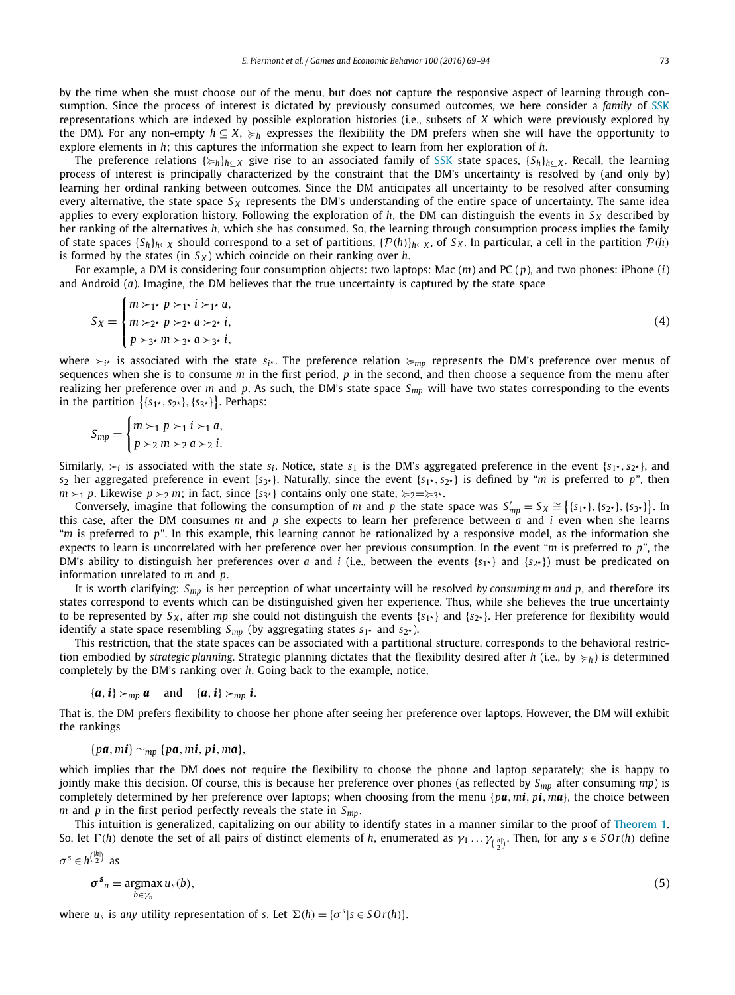<span id="page-4-0"></span>by the time when she must choose out of the menu, but does not capture the responsive aspect of learning through consumption. Since the process of interest is dictated by previously consumed outcomes, we here consider a *family* of [SSK](#page-2-0) representations which are indexed by possible exploration histories (i.e., subsets of *X* which were previously explored by the DM). For any non-empty  $h \subseteq X$ ,  $\succcurlyeq_h$  expresses the flexibility the DM prefers when she will have the opportunity to explore elements in *h*; this captures the information she expect to learn from her exploration of *h*.

The preference relations {-*<sup>h</sup>*}*h*⊆*<sup>X</sup>* give rise to an associated family of [SSK](#page-2-0) state spaces, {*Sh*}*h*⊆*<sup>X</sup>* . Recall, the learning process of interest is principally characterized by the constraint that the DM's uncertainty is resolved by (and only by) learning her ordinal ranking between outcomes. Since the DM anticipates all uncertainty to be resolved after consuming every alternative, the state space  $S_X$  represents the DM's understanding of the entire space of uncertainty. The same idea applies to every exploration history. Following the exploration of  $h$ , the DM can distinguish the events in  $S_X$  described by her ranking of the alternatives *h*, which she has consumed. So, the learning through consumption process implies the family of state spaces  $\{S_h\}_{h\subset X}$  should correspond to a set of partitions,  $\{\mathcal{P}(h)\}_{h\subset X}$ , of  $S_X$ . In particular, a cell in the partition  $\mathcal{P}(h)$ is formed by the states (in  $S_X$ ) which coincide on their ranking over *h*.

For example, a DM is considering four consumption objects: two laptops: Mac (*m*) and PC (*p*), and two phones: iPhone (*i*) and Android (*a*). Imagine, the DM believes that the true uncertainty is captured by the state space

$$
S_X = \begin{cases} m \succ_1^* p \succ_1^* i \succ_1^* a, \\ m \succ_2^* p \succ_2^* a \succ_2^* i, \\ p \succ_3^* m \succ_3^* a \succ_3^* i, \end{cases} \tag{4}
$$

where  $\succ_{i^\star}$  is associated with the state  $s_{i^\star}$ . The preference relation  $\succ_{mp}$  represents the DM's preference over menus of sequences when she is to consume *m* in the first period, *p* in the second, and then choose a sequence from the menu after realizing her preference over *m* and *p*. As such, the DM's state space *Smp* will have two states corresponding to the events in the partition  $\{\{s_1*, s_{2*}\}, \{s_{3*}\}\}.$  Perhaps:

$$
S_{mp} = \begin{cases} m >_1 p >_1 i >_1 a, \\ p >_2 m >_2 a >_2 i. \end{cases}
$$

Similarly,  $\succ_i$  is associated with the state  $s_i$ . Notice, state  $s_1$  is the DM's aggregated preference in the event  $\{s_1\star, s_2\star\}$ , and *s*<sub>2</sub> her aggregated preference in event {*s*<sub>3</sub><sup>*i*</sup>}. Naturally, since the event {*s*<sub>1</sub><sup>*i*</sup>, *s*<sub>2</sub><sup>*i*</sup>} is defined by "*m* is preferred to *p*", then  $m \succ_1 p$ . Likewise  $p \succ_2 m$ ; in fact, since {s<sub>3</sub>\*} contains only one state,  $\succcurlyeq_2=\succcurlyeq_3$ \*.

Conversely, imagine that following the consumption of *m* and *p* the state space was  $S'_{mp} = S_X \cong \{(s_{1*}), (s_{2*}), (s_{3*})\}$ . In this case, after the DM consumes *m* and *p* she expects to learn her preference between *a* and *i* even when she learns "*m* is preferred to *p*". In this example, this learning cannot be rationalized by a responsive model, as the information she expects to learn is uncorrelated with her preference over her previous consumption. In the event "*m* is preferred to *p*", the DM's ability to distinguish her preferences over *a* and *i* (i.e., between the events  $\{s_{1*}\}\$  and  $\{s_{2*}\}\$ ) must be predicated on information unrelated to *m* and *p*.

It is worth clarifying: *Smp* is her perception of what uncertainty will be resolved *by consuming m and p*, and therefore its states correspond to events which can be distinguished given her experience. Thus, while she believes the true uncertainty to be represented by  $S_X$ , after *mp* she could not distinguish the events  $\{s_{1*}\}\$  and  $\{s_{2*}\}\$ . Her preference for flexibility would identify a state space resembling  $S_{mp}$  (by aggregating states  $s_{1*}$  and  $s_{2*}$ ).

This restriction, that the state spaces can be associated with a partitional structure, corresponds to the behavioral restriction embodied by *strategic planning*. Strategic planning dictates that the flexibility desired after *h* (i.e., by -*<sup>h</sup>*) is determined completely by the DM's ranking over *h*. Going back to the example, notice,

$$
\{\boldsymbol{a},\boldsymbol{i}\}\succ_{mp}\boldsymbol{a}\quad\text{and}\quad\{\boldsymbol{a},\boldsymbol{i}\}\succ_{mp}\boldsymbol{i}.
$$

That is, the DM prefers flexibility to choose her phone after seeing her preference over laptops. However, the DM will exhibit the rankings

$$
\{p\boldsymbol{a},m\boldsymbol{i}\}\sim_{mp}\{p\boldsymbol{a},m\boldsymbol{i},p\boldsymbol{i},m\boldsymbol{a}\},
$$

which implies that the DM does not require the flexibility to choose the phone and laptop separately; she is happy to jointly make this decision. Of course, this is because her preference over phones (as reflected by *Smp* after consuming *mp*) is completely determined by her preference over laptops; when choosing from the menu {*pa,mi, pi,ma*}, the choice between *m* and *p* in the first period perfectly reveals the state in  $S_{mn}$ .

This intuition is generalized, capitalizing on our ability to identify states in a manner similar to the proof of [Theorem 1.](#page-3-0) So, let  $\Gamma(h)$  denote the set of all pairs of distinct elements of *h*, enumerated as  $\gamma_1 \ldots \gamma_{\binom{|h|}{2}}.$  Then, for any  $s \in {SOr}(h)$  define

$$
\sigma^{s} \in h^{(|b|)}_{2}
$$
as  

$$
\sigma^{s} = \underset{b \in \gamma_{n}}{\operatorname{argmax}} u_{s}(b),
$$
 (5)

where  $u_s$  is *any* utility representation of *s*. Let  $\Sigma(h) = \{\sigma^s | s \in \mathcal{S}Or(h)\}.$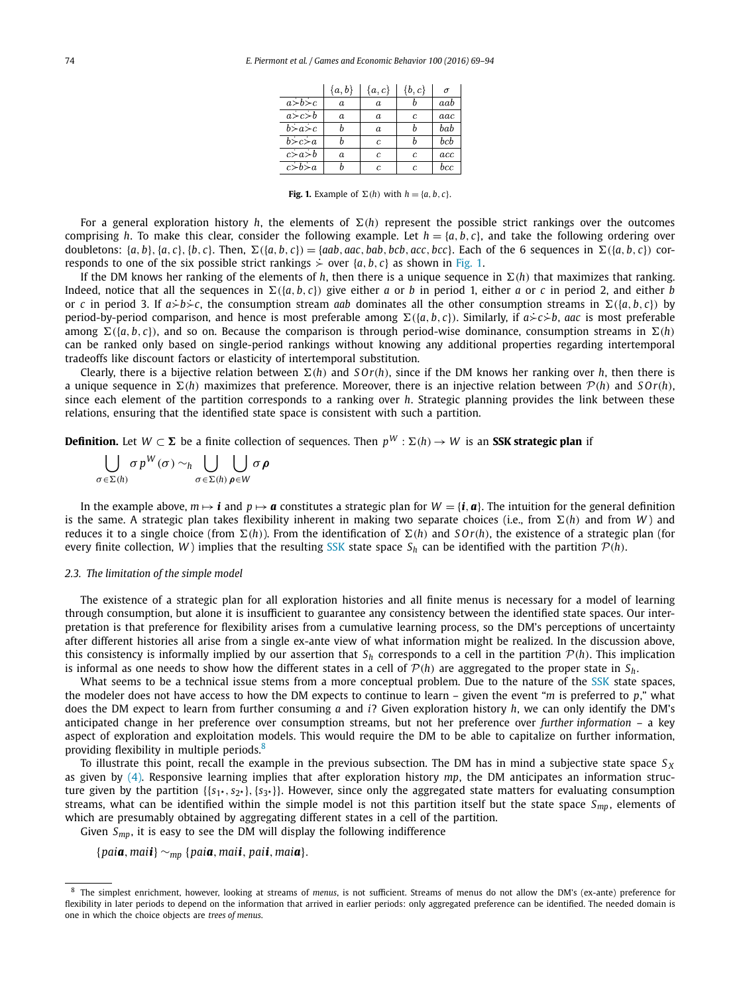|                                 | $\{a, b\}$     | $\{a,c\}$      | $\{b,c\}$  | $\sigma$ |
|---------------------------------|----------------|----------------|------------|----------|
| $a \rightarrow b \rightarrow c$ | $\overline{a}$ | $\overline{a}$ |            | aab      |
| $a \rightarrow c \rightarrow b$ | $\alpha$       | $\overline{a}$ | Ċ          | aac      |
| b > a > c                       |                | $\overline{a}$ |            | bab      |
| b > c > a                       |                | $\overline{c}$ |            | bcb      |
| c > a > b                       | $\overline{a}$ | c              | $\epsilon$ | acc      |
| c > b > a                       |                | Ĉ.             | C          | bcc      |

**Fig. 1.** Example of  $\Sigma(h)$  with  $h = \{a, b, c\}.$ 

For a general exploration history *h*, the elements of  $\Sigma(h)$  represent the possible strict rankings over the outcomes comprising *h*. To make this clear, consider the following example. Let  $h = \{a, b, c\}$ , and take the following ordering over doubletons:  $\{a, b\}, \{a, c\}, \{b, c\}.$  Then,  $\Sigma(\{a, b, c\}) = \{aab, aac, bab, bcb, acc, bcc\}.$  Each of the 6 sequences in  $\Sigma(\{a, b, c\})$  corresponds to one of the six possible strict rankings  $\geq$  over {*a*, *b*, *c*} as shown in Fig. 1.

If the DM knows her ranking of the elements of *h*, then there is a unique sequence in  $\Sigma(h)$  that maximizes that ranking. Indeed, notice that all the sequences in  $\Sigma({a,b,c})$  give either *a* or *b* in period 1, either *a* or *c* in period 2, and either *b* or *c* in period 3. If  $a \neq b \neq c$ , the consumption stream *aab* dominates all the other consumption streams in  $\Sigma({a,b,c})$  by period-by-period comparison, and hence is most preferable among  $\Sigma({a,b,c})$ . Similarly, if  $a\rightarrow c\rightarrow b$ , aac is most preferable among  $\Sigma({a,b,c})$ , and so on. Because the comparison is through period-wise dominance, consumption streams in  $\Sigma(h)$ can be ranked only based on single-period rankings without knowing any additional properties regarding intertemporal tradeoffs like discount factors or elasticity of intertemporal substitution.

Clearly, there is a bijective relation between  $\Sigma(h)$  and  $SOr(h)$ , since if the DM knows her ranking over *h*, then there is a unique sequence in  $\Sigma(h)$  maximizes that preference. Moreover, there is an injective relation between  $P(h)$  and  $SOr(h)$ , since each element of the partition corresponds to a ranking over *h*. Strategic planning provides the link between these relations, ensuring that the identified state space is consistent with such a partition.

**Definition.** Let  $W ⊂ Σ$  be a finite collection of sequences. Then  $p^W : Σ(h) → W$  is an SSK strategic plan if

$$
\bigcup_{\sigma \in \Sigma(h)} \sigma p^W(\sigma) \sim_h \bigcup_{\sigma \in \Sigma(h)} \bigcup_{\boldsymbol{\rho} \in W} \sigma \boldsymbol{\rho}
$$

In the example above,  $m \mapsto i$  and  $p \mapsto a$  constitutes a strategic plan for  $W = \{i, a\}$ . The intuition for the general definition is the same. A strategic plan takes flexibility inherent in making two separate choices (i.e., from  $\Sigma(h)$  and from W) and reduces it to a single choice (from  $\Sigma(h)$ ). From the identification of  $\Sigma(h)$  and  $SOr(h)$ , the existence of a strategic plan (for every finite collection, *W*) implies that the resulting [SSK](#page-2-0) state space  $S_h$  can be identified with the partition  $P(h)$ .

#### *2.3. The limitation of the simple model*

The existence of a strategic plan for all exploration histories and all finite menus is necessary for a model of learning through consumption, but alone it is insufficient to guarantee any consistency between the identified state spaces. Our interpretation is that preference for flexibility arises from a cumulative learning process, so the DM's perceptions of uncertainty after different histories all arise from a single ex-ante view of what information might be realized. In the discussion above, this consistency is informally implied by our assertion that  $S_h$  corresponds to a cell in the partition  $P(h)$ . This implication is informal as one needs to show how the different states in a cell of  $P(h)$  are aggregated to the proper state in  $S_h$ .

What seems to be a technical issue stems from a more conceptual problem. Due to the nature of the [SSK](#page-2-0) state spaces, the modeler does not have access to how the DM expects to continue to learn – given the event "*m* is preferred to *p*," what does the DM expect to learn from further consuming *a* and *i*? Given exploration history *h*, we can only identify the DM's anticipated change in her preference over consumption streams, but not her preference over *further information* – a key aspect of exploration and exploitation models. This would require the DM to be able to capitalize on further information, providing flexibility in multiple periods.<sup>8</sup>

To illustrate this point, recall the example in the previous subsection. The DM has in mind a subjective state space  $S_X$ as given by [\(4\).](#page-4-0) Responsive learning implies that after exploration history *mp*, the DM anticipates an information structure given by the partition  $\{\{s_1,\,s_2,\}\}$ ,  $\{s_3,\}\}$ . However, since only the aggregated state matters for evaluating consumption streams, what can be identified within the simple model is not this partition itself but the state space  $S_{mp}$ , elements of which are presumably obtained by aggregating different states in a cell of the partition.

Given  $S_{mp}$ , it is easy to see the DM will display the following indifference

{*paia,maii*} ∼*mp* {*paia,maii, paii,maia*}*.*

<sup>8</sup> The simplest enrichment, however, looking at streams of *menus*, is not sufficient. Streams of menus do not allow the DM's (ex-ante) preference for flexibility in later periods to depend on the information that arrived in earlier periods: only aggregated preference can be identified. The needed domain is one in which the choice objects are *trees of menus*.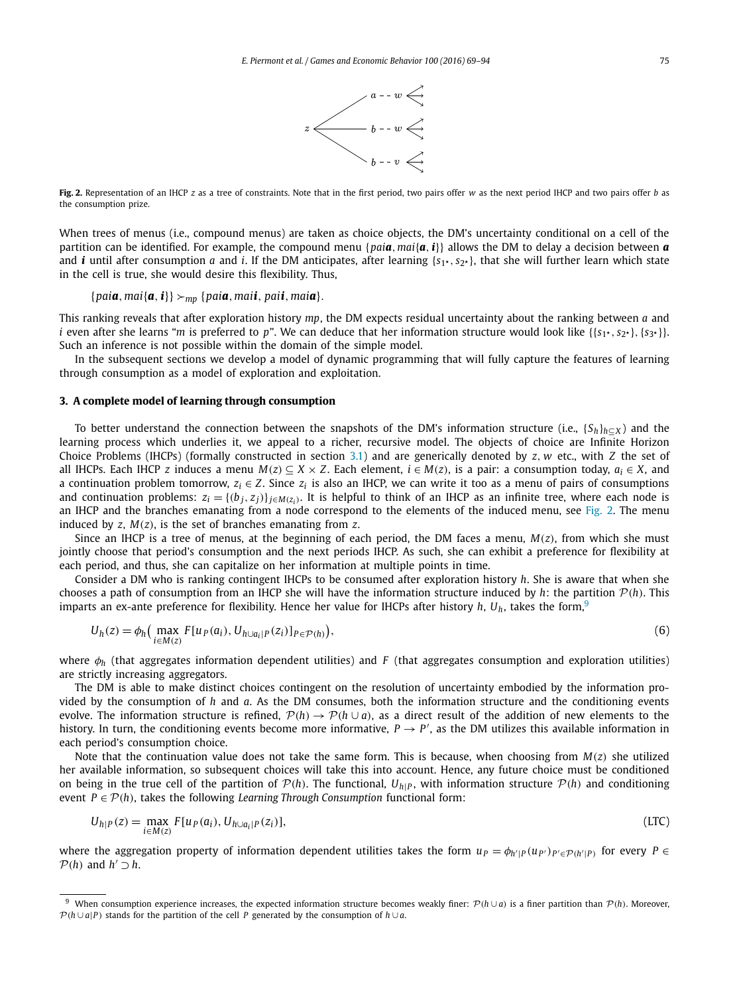

<span id="page-6-0"></span>**Fig. 2.** Representation of an IHCP *z* as a tree of constraints. Note that in the first period, two pairs offer *w* as the next period IHCP and two pairs offer *b* as the consumption prize.

When trees of menus (i.e., compound menus) are taken as choice objects, the DM's uncertainty conditional on a cell of the partition can be identified. For example, the compound menu { $pai\mathbf{a}$ *, mai*{ $\mathbf{a}$ *, i*}} allows the DM to delay a decision between  $\mathbf{a}$ and *i* until after consumption *a* and *i*. If the DM anticipates, after learning  $\{s_1, s_2, \}$ , that she will further learn which state in the cell is true, she would desire this flexibility. Thus,

 ${paia, mai{a, i}} \rightarrow mn{paia, mai, pair, mail}.$ 

This ranking reveals that after exploration history *mp*, the DM expects residual uncertainty about the ranking between *a* and *i* even after she learns "*m* is preferred to *p*". We can deduce that her information structure would look like {{ $s_1\star$ ,  $s_2\star$ }, { $s_3\star$ }}. Such an inference is not possible within the domain of the simple model.

In the subsequent sections we develop a model of dynamic programming that will fully capture the features of learning through consumption as a model of exploration and exploitation.

### **3. A complete model of learning through consumption**

To better understand the connection between the snapshots of the DM's information structure (i.e.,  ${S_h}_{h \subset X}$ ) and the learning process which underlies it, we appeal to a richer, recursive model. The objects of choice are Infinite Horizon Choice Problems (IHCPs) (formally constructed in section [3.1\)](#page-7-0) and are generically denoted by *z, w* etc., with *Z* the set of all IHCPs. Each IHCP *z* induces a menu  $M(z) \subseteq X \times Z$ . Each element,  $i \in M(z)$ , is a pair: a consumption today,  $a_i \in X$ , and a continuation problem tomorrow, *zi* ∈ *Z*. Since *zi* is also an IHCP, we can write it too as a menu of pairs of consumptions and continuation problems:  $z_i = \{(b_i, z_j)\}_{i \in M(z_i)}$ . It is helpful to think of an IHCP as an infinite tree, where each node is an IHCP and the branches emanating from a node correspond to the elements of the induced menu, see Fig. 2. The menu induced by *z*, *M(z)*, is the set of branches emanating from *z*.

Since an IHCP is a tree of menus, at the beginning of each period, the DM faces a menu, *M(z)*, from which she must jointly choose that period's consumption and the next periods IHCP. As such, she can exhibit a preference for flexibility at each period, and thus, she can capitalize on her information at multiple points in time.

Consider a DM who is ranking contingent IHCPs to be consumed after exploration history *h*. She is aware that when she chooses a path of consumption from an IHCP she will have the information structure induced by *h*: the partition  $P(h)$ . This imparts an ex-ante preference for flexibility. Hence her value for IHCPs after history  $h$ ,  $U_h$ , takes the form,<sup>9</sup>

$$
U_h(z) = \phi_h\left(\max_{i \in M(z)} F[u_P(a_i), U_{h \cup a_i|P}(z_i)]_{P \in \mathcal{P}(h)}\right),\tag{6}
$$

where *φ<sup>h</sup>* (that aggregates information dependent utilities) and *F* (that aggregates consumption and exploration utilities) are strictly increasing aggregators.

The DM is able to make distinct choices contingent on the resolution of uncertainty embodied by the information provided by the consumption of *h* and *a*. As the DM consumes, both the information structure and the conditioning events evolve. The information structure is refined,  $\mathcal{P}(h) \to \mathcal{P}(h \cup a)$ , as a direct result of the addition of new elements to the history. In turn, the conditioning events become more informative,  $P \to P'$ , as the DM utilizes this available information in each period's consumption choice.

Note that the continuation value does not take the same form. This is because, when choosing from *M(z)* she utilized her available information, so subsequent choices will take this into account. Hence, any future choice must be conditioned on being in the true cell of the partition of  $P(h)$ . The functional,  $U_{h|P}$ , with information structure  $P(h)$  and conditioning event  $P \in \mathcal{P}(h)$ , takes the following *Learning Through Consumption* functional form:

$$
U_{h|P}(z) = \max_{i \in M(z)} F[u_P(a_i), U_{h \cup a_i|P}(z_i)],
$$
\n(LTC)

where the aggregation property of information dependent utilities takes the form  $u_P = \phi_{h'|P}(u_{P'})_{P' \in \mathcal{P}(h'|P)}$  for every  $P \in \mathbb{R}$ *P*(*h*) and *h'* ⊃ *h*.

<sup>9</sup> When consumption experience increases, the expected information structure becomes weakly finer: <sup>P</sup>*(<sup>h</sup>* <sup>∪</sup> *<sup>a</sup>)* is <sup>a</sup> finer partition than <sup>P</sup>*(h)*. Moreover, P*(<sup>h</sup>* ∪ *<sup>a</sup>*|*P)* stands for the partition of the cell *<sup>P</sup>* generated by the consumption of *<sup>h</sup>* ∪*a*.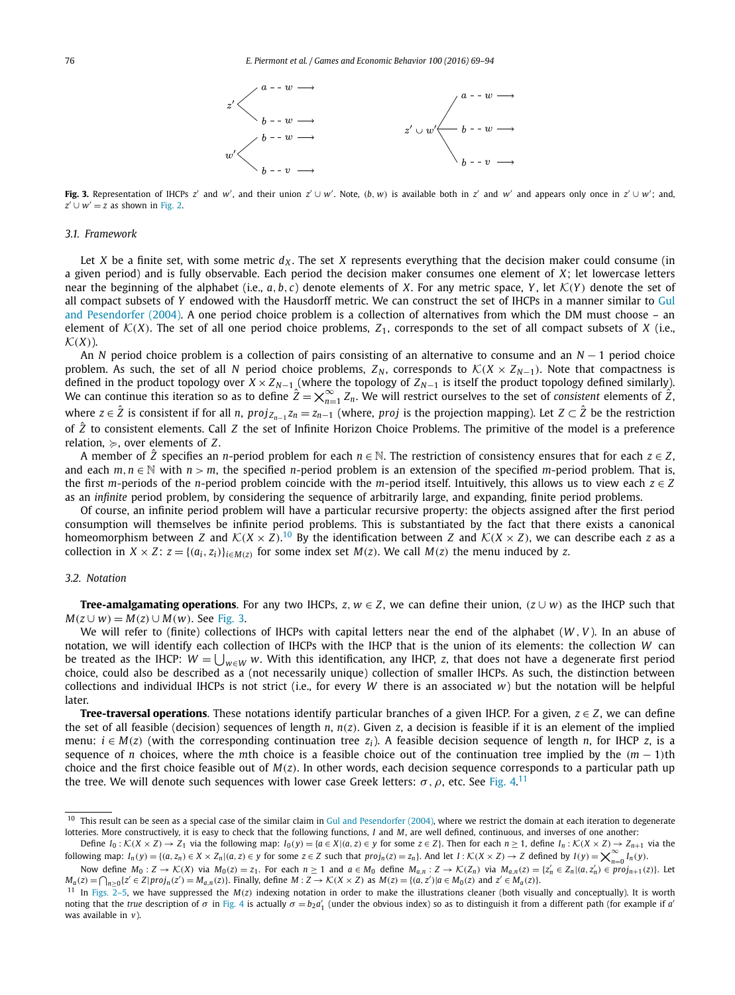

<span id="page-7-0"></span>Fig. 3. Representation of IHCPs z' and w', and their union  $z' \cup w'$ . Note,  $(b, w)$  is available both in z' and w' and appears only once in  $z' \cup w'$ ; and.  $z' \cup w' = z$  as shown in [Fig. 2.](#page-6-0)

#### *3.1. Framework*

Let *X* be a finite set, with some metric  $d<sub>X</sub>$ . The set *X* represents everything that the decision maker could consume (in a given period) and is fully observable. Each period the decision maker consumes one element of *X*; let lowercase letters near the beginning of the alphabet (i.e.,  $a, b, c$ ) denote elements of *X*. For any metric space, *Y*, let  $K(Y)$  denote the set of all compact subsets of *Y* endowed with the Hausdorff metric. We can construct the set of IHCPs in a manner similar to [Gul](#page-25-0) and [Pesendorfer \(2004\).](#page-25-0) A one period choice problem is a collection of alternatives from which the DM must choose – an element of  $K(X)$ . The set of all one period choice problems,  $Z_1$ , corresponds to the set of all compact subsets of *X* (i.e., K*(X)*).

An *N* period choice problem is a collection of pairs consisting of an alternative to consume and an *N* − 1 period choice problem. As such, the set of all *N* period choice problems,  $Z_N$ , corresponds to  $\mathcal{K}(X \times Z_{N-1})$ . Note that compactness is defined in the product topology over  $X \times Z_{N-1}$  (where the topology of  $Z_{N-1}$  is itself the product topology defined similarly). We can continue this iteration so as to define  $\hat{Z} = \chi_{n=1}^{\infty} Z_n$ . We will restrict ourselves to the set of *consistent* elements of  $\hat{Z}$ , where *z* ∈  $\hat{Z}$  is consistent if for all *n*,  $proj_{Z_{n-1}} z_n = z_{n-1}$  (where, *proj* is the projection mapping). Let *Z* ⊂  $\hat{Z}$  be the restriction of *Z*ˆ to consistent elements. Call *Z* the set of Infinite Horizon Choice Problems. The primitive of the model is a preference relation,  $\succcurlyeq$ , over elements of Z.

<sup>A</sup> member of *<sup>Z</sup>*ˆ specifies an *<sup>n</sup>*-period problem for each *<sup>n</sup>* ∈ N. The restriction of consistency ensures that for each *<sup>z</sup>* ∈ *<sup>Z</sup>*, and each  $m, n \in \mathbb{N}$  with  $n > m$ , the specified *n*-period problem is an extension of the specified *m*-period problem. That is, the first *m*-periods of the *n*-period problem coincide with the *m*-period itself. Intuitively, this allows us to view each  $z \in Z$ as an *infinite* period problem, by considering the sequence of arbitrarily large, and expanding, finite period problems.

Of course, an infinite period problem will have a particular recursive property: the objects assigned after the first period consumption will themselves be infinite period problems. This is substantiated by the fact that there exists a canonical homeomorphism between *Z* and  $K(X \times Z)$ .<sup>10</sup> By the identification between *Z* and  $K(X \times Z)$ , we can describe each *z* as a collection in  $X \times Z$ :  $z = \{(a_i, z_i)\}_{i \in M(z)}$  for some index set  $M(z)$ . We call  $M(z)$  the menu induced by z.

#### *3.2. Notation*

**Tree-amalgamating operations**. For any two IHCPs,  $z, w \in Z$ , we can define their union,  $(z \cup w)$  as the IHCP such that  $M(z \cup w) = M(z) \cup M(w)$ . See Fig. 3.

We will refer to (finite) collections of IHCPs with capital letters near the end of the alphabet (*W , V* ). In an abuse of notation, we will identify each collection of IHCPs with the IHCP that is the union of its elements: the collection *W* can be treated as the IHCP:  $W=\bigcup_{w\in W}w.$  With this identification, any IHCP,  $z,$  that does not have a degenerate first period choice, could also be described as a (not necessarily unique) collection of smaller IHCPs. As such, the distinction between collections and individual IHCPs is not strict (i.e., for every *W* there is an associated *w*) but the notation will be helpful later.

**Tree-traversal operations**. These notations identify particular branches of a given IHCP. For a given,  $z \in Z$ , we can define the set of all feasible (decision) sequences of length *n*, *n(z)*. Given *z*, a decision is feasible if it is an element of the implied menu:  $i \in M(z)$  (with the corresponding continuation tree  $z_i$ ). A feasible decision sequence of length *n*, for IHCP *z*, is a sequence of *n* choices, where the *m*th choice is a feasible choice out of the continuation tree implied by the *(m* − 1*)*th choice and the first choice feasible out of *M(z)*. In other words, each decision sequence corresponds to a particular path up the tree. We will denote such sequences with lower case Greek letters:  $\sigma$ ,  $\rho$ , etc. See [Fig. 4.](#page-8-0)<sup>[11](#page-8-0)</sup>

 $10$  This result can be seen as a special case of the similar claim in Gul and [Pesendorfer \(2004\),](#page-25-0) where we restrict the domain at each iteration to degenerate lotteries. More constructively, it is easy to check that the following functions, *I* and *M*, are well defined, continuous, and inverses of one another:

Define  $I_0$ :  $K(X \times Z) \rightarrow Z_1$  via the following map:  $I_0(y) = \{a \in X | (a, z) \in y \text{ for some } z \in Z\}$ . Then for each  $n \ge 1$ , define  $I_n$ :  $K(X \times Z) \rightarrow Z_{n+1}$  via the following map:  $I_n(y) = \{(a, z_n) \in X \times Z_n | (a, z) \in y \text{ for some } z \in Z \text{ such that } proj_n(z) = z_n\}$ .

Now define  $M_0: Z \to \mathcal{K}(X)$  via  $M_0(z) = z_1$ . For each  $n \ge 1$  and  $a \in M_0$  define  $M_{a,n}: Z \to \mathcal{K}(Z_n)$  via  $M_{a,n}(z) = \{z'_n \in Z_n | (a, z'_n) \in proj_{n+1}(z)\}$ . Let  $M_a(z) = \bigcap_{n\geq 0} \{z' \in Z | proj_n(z') = M_{a,n}(z)\}\$ . Finally, define  $M: Z \to \mathcal{K}(X \times Z)$  as  $M(z) = \{(a, z') | a \in M_0(z) \text{ and } z' \in M_a(z)\}\$ .

<sup>&</sup>lt;sup>11</sup> In Figs.  $2-5$ , we have suppressed the  $M(z)$  indexing notation in order to make the illustrations cleaner (both visually and conceptually). It is worth noting that the *true* description of  $\sigma$  in [Fig. 4](#page-8-0) is actually  $\sigma = b_2 a'_1$  (under the obvious index) so as to distinguish it from a different path (for example if *a* was available in *v*).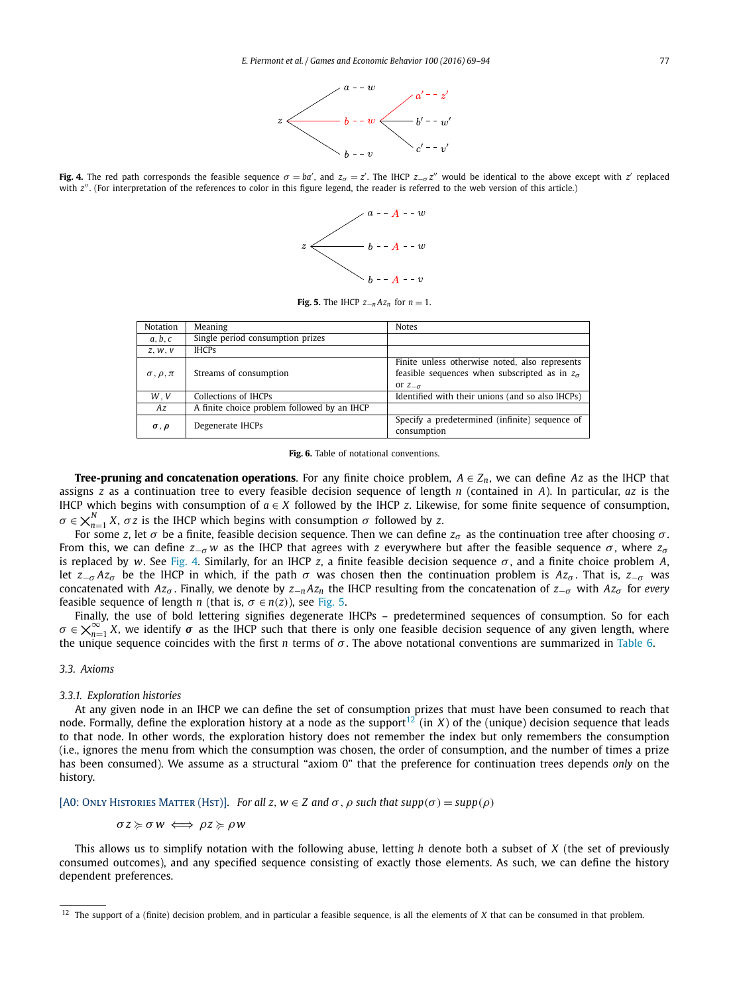

<span id="page-8-0"></span>**Fig. 4.** The red path corresponds the feasible sequence  $\sigma = ba'$ , and  $z_{\sigma} = z'$ . The IHCP  $z_{-\sigma}z''$  would be identical to the above except with  $z'$  replaced with *z*". (For interpretation of the references to color in this figure legend, the reader is referred to the web version of this article.)



**Fig. 5.** The IHCP  $z_{-n}Az_n$  for  $n = 1$ .

| Notation                  | Meaning                                     | <b>Notes</b>                                                                                                                 |
|---------------------------|---------------------------------------------|------------------------------------------------------------------------------------------------------------------------------|
| a, b, c                   | Single period consumption prizes            |                                                                                                                              |
| Z, W, V                   | <b>IHCPs</b>                                |                                                                                                                              |
| $\sigma$ , $\rho$ , $\pi$ | Streams of consumption                      | Finite unless otherwise noted, also represents<br>feasible sequences when subscripted as in $z_{\sigma}$<br>or $z_{-\sigma}$ |
| W.V                       | Collections of IHCPs                        | Identified with their unions (and so also IHCPs)                                                                             |
| Az                        | A finite choice problem followed by an IHCP |                                                                                                                              |
| $\sigma$ , $\rho$         | Degenerate IHCPs                            | Specify a predetermined (infinite) sequence of<br>consumption                                                                |

**Fig. 6.** Table of notational conventions.

**Tree-pruning and concatenation operations**. For any finite choice problem,  $A \in Z_n$ , we can define *Az* as the IHCP that assigns *z* as a continuation tree to every feasible decision sequence of length *n* (contained in *A*). In particular, *az* is the IHCP which begins with consumption of  $a \in X$  followed by the IHCP *z*. Likewise, for some finite sequence of consumption,  $\sigma \in X_{n=1}^N X$ , *σ z* is the IHCP which begins with consumption  $\sigma$  followed by *z*.

For some *z*, let  $\sigma$  be a finite, feasible decision sequence. Then we can define  $z_\sigma$  as the continuation tree after choosing  $\sigma$ . From this, we can define  $z$ <sub>−*σ*</sub> *w* as the IHCP that agrees with *z* everywhere but after the feasible sequence  $\sigma$ , where  $z_{\sigma}$ is replaced by *w*. See Fig. 4. Similarly, for an IHCP *z*, a finite feasible decision sequence *σ* , and a finite choice problem *A*, let  $z_{-\sigma} A z_{\sigma}$  be the IHCP in which, if the path  $\sigma$  was chosen then the continuation problem is  $Az_{\sigma}$ . That is,  $z_{-\sigma}$  was concatenated with *Azσ* . Finally, we denote by *z*−*<sup>n</sup> Azn* the IHCP resulting from the concatenation of *z*−*σ* with *Azσ* for *every* feasible sequence of length *n* (that is,  $\sigma \in n(z)$ ), see Fig. 5.

Finally, the use of bold lettering signifies degenerate IHCPs – predetermined sequences of consumption. So for each  $\sigma \in \bigtimes_{n=1}^{\infty} X$ , we identify  $\sigma$  as the IHCP such that there is only one feasible decision sequence of any given length, where the unique sequence coincides with the first *n* terms of *σ* . The above notational conventions are summarized in Table 6.

#### *3.3. Axioms*

#### *3.3.1. Exploration histories*

At any given node in an IHCP we can define the set of consumption prizes that must have been consumed to reach that node. Formally, define the exploration history at a node as the support<sup>12</sup> (in *X*) of the (unique) decision sequence that leads to that node. In other words, the exploration history does not remember the index but only remembers the consumption (i.e., ignores the menu from which the consumption was chosen, the order of consumption, and the number of times a prize has been consumed). We assume as a structural "axiom 0" that the preference for continuation trees depends *only* on the history.

[A0: ONLY HISTORIES MATTER (HST)]. *For all z, w*  $\in$  *Z and*  $\sigma$ *,*  $\rho$  *such that*  $supp(\sigma) = supp(\rho)$ 

 $\sigma z \succcurlyeq \sigma w \iff \rho z \succcurlyeq \rho w$ 

This allows us to simplify notation with the following abuse, letting *h* denote both a subset of *X* (the set of previously consumed outcomes), and any specified sequence consisting of exactly those elements. As such, we can define the history dependent preferences.

<sup>&</sup>lt;sup>12</sup> The support of a (finite) decision problem, and in particular a feasible sequence, is all the elements of *X* that can be consumed in that problem.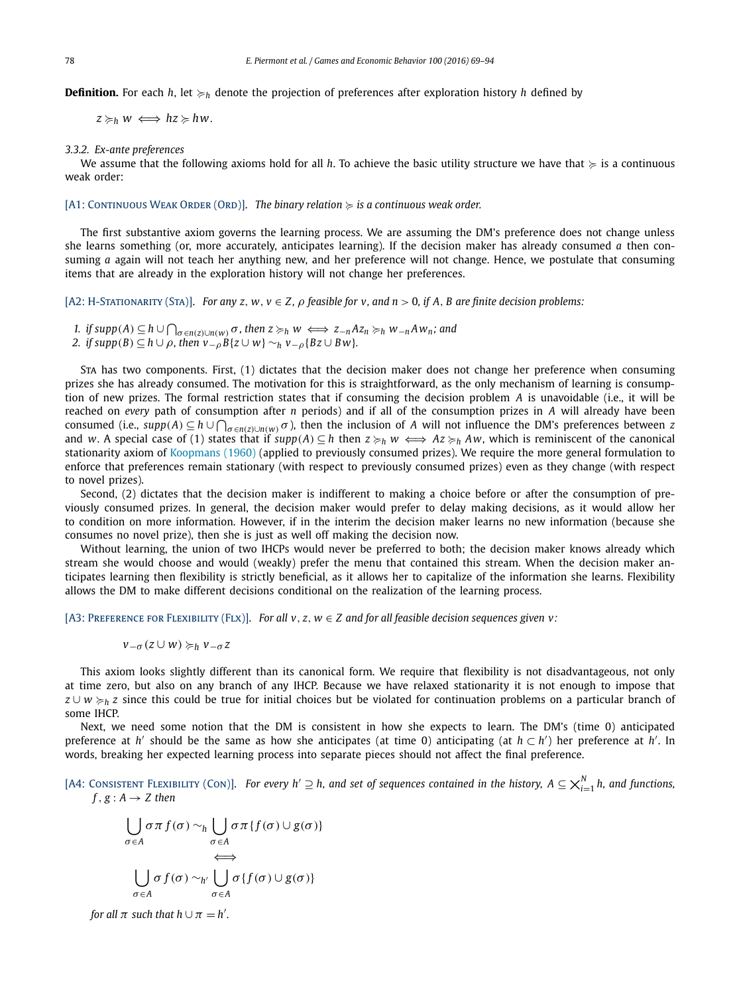**Definition.** For each *h*, let  $\succcurlyeq_h$  denote the projection of preferences after exploration history *h* defined by

 $z \succcurlyeq_h w \iff hz \succcurlyeq hw.$ 

#### *3.3.2. Ex-ante preferences*

We assume that the following axioms hold for all *h*. To achieve the basic utility structure we have that  $\succcurlyeq$  is a continuous weak order:

[A1: Continuous Weak Order (Ord)]. The binary relation  $\succcurlyeq$  is a continuous weak order.

The first substantive axiom governs the learning process. We are assuming the DM's preference does not change unless she learns something (or, more accurately, anticipates learning). If the decision maker has already consumed *a* then consuming *a* again will not teach her anything new, and her preference will not change. Hence, we postulate that consuming items that are already in the exploration history will not change her preferences.

[A2: H-STATIONARITY (STA)]. For any z, w,  $v \in Z$ ,  $\rho$  feasible for v, and  $n > 0$ , if A, B are finite decision problems:

1. if  $supp(A) \subseteq h \cup \bigcap_{\sigma \in n(z) \cup n(w)} \sigma$ , then  $z \succcurlyeq_h w \iff z_{-n}Az_n \succcurlyeq_h w_{-n}Aw_n$ ; and

*2. if*  $supp(B) ⊆ h ∪ ρ$ *, then*  $v<sub>−</sub>ρ B{z ∪ w} ∼<sub>h</sub> v<sub>−</sub>ρ{Bz ∪ Bw}$ *.* 

Sta has two components. First, (1) dictates that the decision maker does not change her preference when consuming prizes she has already consumed. The motivation for this is straightforward, as the only mechanism of learning is consumption of new prizes. The formal restriction states that if consuming the decision problem *A* is unavoidable (i.e., it will be reached on *every* path of consumption after *n* periods) and if all of the consumption prizes in *A* will already have been consumed (i.e., supp(A)  $\subseteq h\cup\bigcap_{\sigma\in n(z)\cup n(w)}\sigma$ ), then the inclusion of A will not influence the DM's preferences between z and *w*. A special case of (1) states that if  $supp(A) \subseteq h$  then  $z \succcurlyeq_h w \iff Az \succcurlyeq_h Aw$ , which is reminiscent of the canonical stationarity axiom of [Koopmans \(1960\)](#page-25-0) (applied to previously consumed prizes). We require the more general formulation to enforce that preferences remain stationary (with respect to previously consumed prizes) even as they change (with respect to novel prizes).

Second, (2) dictates that the decision maker is indifferent to making a choice before or after the consumption of previously consumed prizes. In general, the decision maker would prefer to delay making decisions, as it would allow her to condition on more information. However, if in the interim the decision maker learns no new information (because she consumes no novel prize), then she is just as well off making the decision now.

Without learning, the union of two IHCPs would never be preferred to both; the decision maker knows already which stream she would choose and would (weakly) prefer the menu that contained this stream. When the decision maker anticipates learning then flexibility is strictly beneficial, as it allows her to capitalize of the information she learns. Flexibility allows the DM to make different decisions conditional on the realization of the learning process.

[A3: PREFERENCE FOR FLEXIBILITY (FLX)]. *For all*  $v, z, w \in \mathbb{Z}$  *and for all feasible decision sequences given*  $v$ :

$$
v_{-\sigma}(z\cup w)\succcurlyeq _{h}v_{-\sigma}z
$$

This axiom looks slightly different than its canonical form. We require that flexibility is not disadvantageous, not only at time zero, but also on any branch of any IHCP. Because we have relaxed stationarity it is not enough to impose that *z*∪ *w*  $\succcurlyeq_h$  *z* since this could be true for initial choices but be violated for continuation problems on a particular branch of some IHCP.

Next, we need some notion that the DM is consistent in how she expects to learn. The DM's (time 0) anticipated preference at *h'* should be the same as how she anticipates (at time 0) anticipating (at  $h \subset h'$ ) her preference at *h'*. In words, breaking her expected learning process into separate pieces should not affect the final preference.

[A4: CONSISTENT FLEXIBILITY (CON)]. For every  $h'\supseteq h$ , and set of sequences contained in the history,  $A\subseteq\bigtimes_{i=1}^Nh$ , and functions,  $f, g: A \rightarrow Z$  then

$$
\bigcup_{\sigma \in A} \sigma \pi f(\sigma) \sim_h \bigcup_{\sigma \in A} \sigma \pi \{f(\sigma) \cup g(\sigma)\}
$$
\n
$$
\bigcup_{\sigma \in A} \sigma f(\sigma) \sim_{h'} \bigcup_{\sigma \in A} \sigma \{f(\sigma) \cup g(\sigma)\}
$$

*for all*  $\pi$  *such that*  $h \cup \pi = h'.$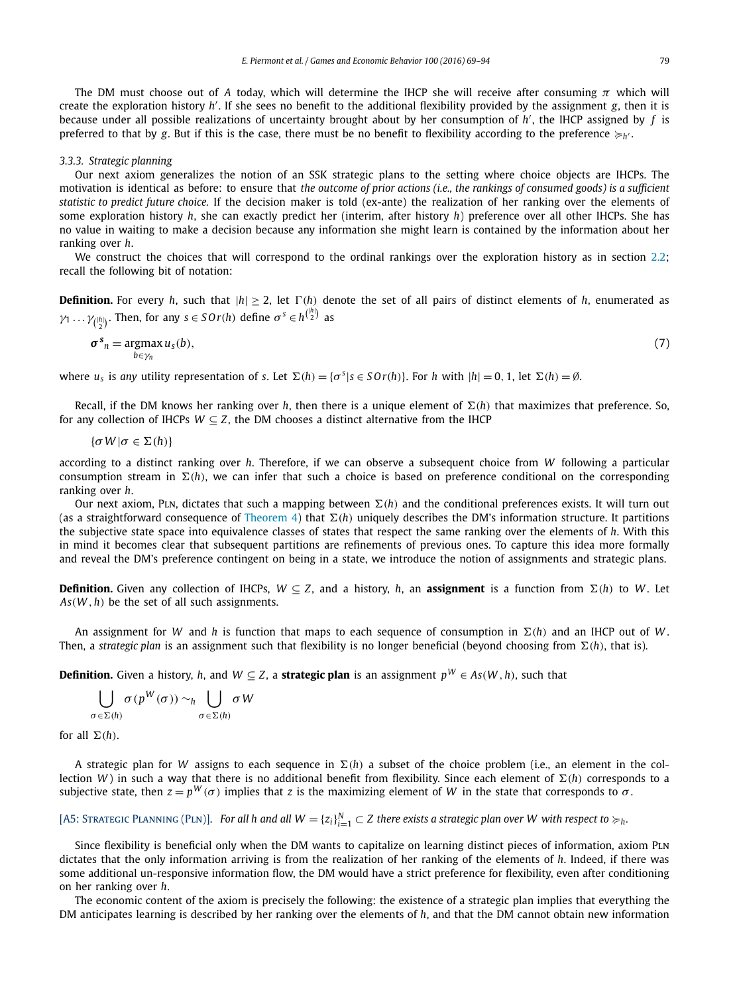The DM must choose out of *A* today, which will determine the IHCP she will receive after consuming *π* which will create the exploration history *h* . If she sees no benefit to the additional flexibility provided by the assignment *g*, then it is because under all possible realizations of uncertainty brought about by her consumption of *h* , the IHCP assigned by *f* is preferred to that by g. But if this is the case, there must be no benefit to flexibility according to the preference  $\succ_{h'}$ .

#### *3.3.3. Strategic planning*

Our next axiom generalizes the notion of an SSK strategic plans to the setting where choice objects are IHCPs. The motivation is identical as before: to ensure that the outcome of prior actions (i.e., the rankings of consumed goods) is a sufficient *statistic to predict future choice.* If the decision maker is told (ex-ante) the realization of her ranking over the elements of some exploration history *h*, she can exactly predict her (interim, after history *h*) preference over all other IHCPs. She has no value in waiting to make a decision because any information she might learn is contained by the information about her ranking over *h*.

We construct the choices that will correspond to the ordinal rankings over the exploration history as in section [2.2;](#page-3-0) recall the following bit of notation:

**Definition.** For every *h*, such that  $|h| \ge 2$ , let  $\Gamma(h)$  denote the set of all pairs of distinct elements of *h*, enumerated as *γ*<sub>1</sub> ... *γ*<sub>( $\frac{h}{2}$ ). Then, for any *s*  $\in$  *SOr*(*h*) define  $\sigma^s \in h^{\binom{|h|}{2}}$  as</sub>

$$
\sigma_{n}^{s} = \underset{b \in \gamma_{n}}{\operatorname{argmax}} u_{s}(b), \tag{7}
$$

where  $u_s$  is any utility representation of s. Let  $\Sigma(h) = \{\sigma^s | s \in \mathcal{S}Or(h)\}$ . For h with  $|h| = 0, 1$ , let  $\Sigma(h) = \emptyset$ .

Recall, if the DM knows her ranking over *h*, then there is a unique element of  $\Sigma(h)$  that maximizes that preference. So, for any collection of IHCPs  $W \subseteq Z$ , the DM chooses a distinct alternative from the IHCP

 $\{\sigma W | \sigma \in \Sigma(h)\}$ 

according to a distinct ranking over *h*. Therefore, if we can observe a subsequent choice from *W* following a particular consumption stream in  $\Sigma(h)$ , we can infer that such a choice is based on preference conditional on the corresponding ranking over *h*.

Our next axiom, PLN, dictates that such a mapping between  $\Sigma(h)$  and the conditional preferences exists. It will turn out (as a straightforward consequence of [Theorem 4\)](#page-13-0) that  $\Sigma(h)$  uniquely describes the DM's information structure. It partitions the subjective state space into equivalence classes of states that respect the same ranking over the elements of *h*. With this in mind it becomes clear that subsequent partitions are refinements of previous ones. To capture this idea more formally and reveal the DM's preference contingent on being in a state, we introduce the notion of assignments and strategic plans.

**Definition.** Given any collection of IHCPs,  $W \subseteq Z$ , and a history, *h*, an **assignment** is a function from  $\Sigma(h)$  to *W*. Let *As(W ,h)* be the set of all such assignments.

An assignment for *W* and *h* is function that maps to each sequence of consumption in  $\Sigma(h)$  and an IHCP out of *W*. Then, a *strategic plan* is an assignment such that flexibility is no longer beneficial (beyond choosing from  $\Sigma(h)$ , that is).

**Definition.** Given a history, *h*, and  $W \subseteq Z$ , a **strategic** plan is an assignment  $p^W \in As(W, h)$ , such that

$$
\bigcup_{\epsilon \Sigma(h)} \sigma(p^W(\sigma)) \sim_h \bigcup_{\sigma \in \Sigma(h)} \sigma W
$$

*σ*∈*(h)* for all  $\Sigma(h)$ .

A strategic plan for *W* assigns to each sequence in  $\Sigma(h)$  a subset of the choice problem (i.e., an element in the collection *W*) in such a way that there is no additional benefit from flexibility. Since each element of  $\Sigma(h)$  corresponds to a subjective state, then  $z = p^W(\sigma)$  implies that *z* is the maximizing element of *W* in the state that corresponds to  $\sigma$ .

[A5: STRATEGIC PLANNING (PLN)]. For all h and all  $W = \{z_i\}_{i=1}^N \subset Z$  there exists a strategic plan over W with respect to  $\succcurlyeq_h$ .

Since flexibility is beneficial only when the DM wants to capitalize on learning distinct pieces of information, axiom Pln dictates that the only information arriving is from the realization of her ranking of the elements of *h*. Indeed, if there was some additional un-responsive information flow, the DM would have a strict preference for flexibility, even after conditioning on her ranking over *h*.

The economic content of the axiom is precisely the following: the existence of a strategic plan implies that everything the DM anticipates learning is described by her ranking over the elements of *h*, and that the DM cannot obtain new information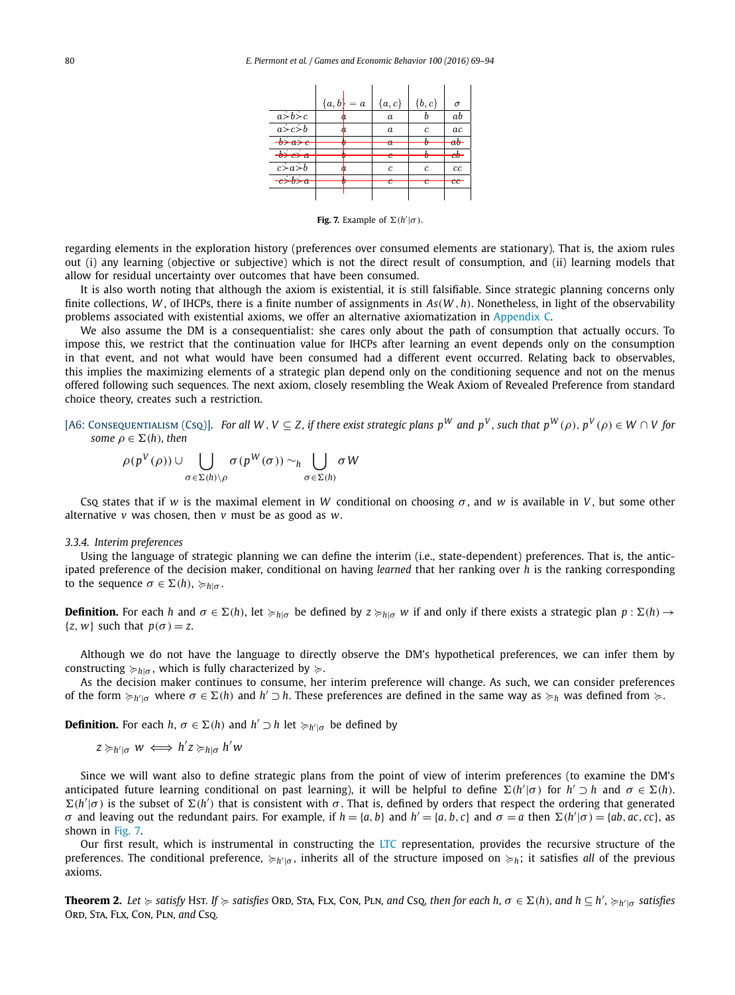

**Fig. 7.** Example of  $\Sigma(h'|\sigma)$ .

<span id="page-11-0"></span>regarding elements in the exploration history (preferences over consumed elements are stationary). That is, the axiom rules out (i) any learning (objective or subjective) which is not the direct result of consumption, and (ii) learning models that allow for residual uncertainty over outcomes that have been consumed.

It is also worth noting that although the axiom is existential, it is still falsifiable. Since strategic planning concerns only finite collections, *W*, of IHCPs, there is a finite number of assignments in  $As(W, h)$ . Nonetheless, in light of the observability problems associated with existential axioms, we offer an alternative axiomatization in [Appendix C.](#page-23-0)

We also assume the DM is a consequentialist: she cares only about the path of consumption that actually occurs. To impose this, we restrict that the continuation value for IHCPs after learning an event depends only on the consumption in that event, and not what would have been consumed had a different event occurred. Relating back to observables, this implies the maximizing elements of a strategic plan depend only on the conditioning sequence and not on the menus offered following such sequences. The next axiom, closely resembling the Weak Axiom of Revealed Preference from standard choice theory, creates such a restriction.

# [A6: CONSEQUENTIALISM (Cso)]. For all W,  $V \subseteq Z$ , if there exist strategic plans  $p^W$  and  $p^V$ , such that  $p^W(\rho)$ ,  $p^V(\rho) \in W \cap V$  for *some*  $\rho \in \Sigma(h)$ *, then*

$$
\rho(p^V(\rho))\cup \bigcup_{\sigma\in \Sigma(h)\backslash \rho}\sigma(p^W(\sigma))\sim_h \bigcup_{\sigma\in \Sigma(h)}\sigma W
$$

Csq states that if *w* is the maximal element in *W* conditional on choosing  $\sigma$ , and *w* is available in *V*, but some other alternative *v* was chosen, then *v* must be as good as *w*.

#### *3.3.4. Interim preferences*

Using the language of strategic planning we can define the interim (i.e., state-dependent) preferences. That is, the anticipated preference of the decision maker, conditional on having *learned* that her ranking over *h* is the ranking corresponding to the sequence  $\sigma \in \Sigma(h)$ ,  $\succcurlyeq_{h|\sigma}$ .

**Definition.** For each h and  $\sigma \in \Sigma(h)$ , let  $\succcurlyeq_{h|\sigma}$  be defined by  $z\succcurlyeq_{h|\sigma} w$  if and only if there exists a strategic plan  $p:\Sigma(h)\to$  ${z, w}$  such that  $p(\sigma) = z$ .

Although we do not have the language to directly observe the DM's hypothetical preferences, we can infer them by constructing  $\succcurlyeq_{h|\sigma}$ , which is fully characterized by  $\succcurlyeq$ .

As the decision maker continues to consume, her interim preference will change. As such, we can consider preferences of the form  $\succ_{h'|\sigma}$  where  $\sigma \in \Sigma(h)$  and  $h' \supset h$ . These preferences are defined in the same way as  $\succ_{h}$  was defined from  $\succcurlyeq$ .

**Definition.** For each *h*,  $\sigma \in \Sigma(h)$  and  $h' \supset h$  let  $\succcurlyeq_{h'|\sigma}$  be defined by

$$
z\succcurlyeq_{h'\mid\sigma} w\iff h'z\succcurlyeq_{h\mid\sigma} h'w
$$

Since we will want also to define strategic plans from the point of view of interim preferences (to examine the DM's anticipated future learning conditional on past learning), it will be helpful to define  $\Sigma(h'|\sigma)$  for  $h' \supset h$  and  $\sigma \in \Sigma(h)$ .  $\Sigma(h'|\sigma)$  is the subset of  $\Sigma(h')$  that is consistent with  $\sigma$ . That is, defined by orders that respect the ordering that generated  $\sigma$  and leaving out the redundant pairs. For example, if  $h = \{a, b\}$  and  $h' = \{a, b, c\}$  and  $\sigma = a$  then  $\Sigma(h'|\sigma) = \{ab, ac, cc\}$ , as shown in Fig. 7.

Our first result, which is instrumental in constructing the [LTC](#page-6-0) representation, provides the recursive structure of the preferences. The conditional preference,  $\succ_{h'|\sigma}$ , inherits all of the structure imposed on  $\succ_{h}$ ; it satisfies *all* of the previous axioms.

**Theorem 2.** Let  $\succcurlyeq$  satisfy Hst. If  $\succcurlyeq$  satisfies Orb, StA, FLx, Con, PLn, and Cs $o$ , then for each h,  $\sigma \in \Sigma(h)$ , and  $h \subseteq h'$ ,  $\succcurlyeq_{h'|\sigma}$  satisfies Ord*,* Sta*,* Flx*,* Con*,* Pln*, and* Csq*.*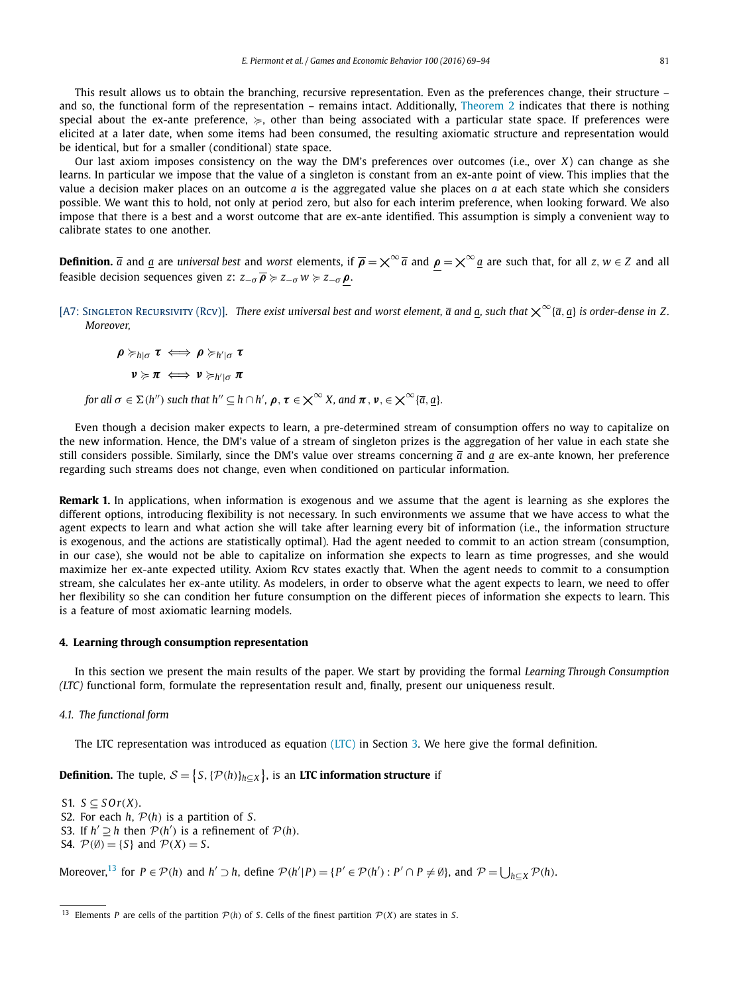<span id="page-12-0"></span>This result allows us to obtain the branching, recursive representation. Even as the preferences change, their structure – and so, the functional form of the representation – remains intact. Additionally, [Theorem 2](#page-11-0) indicates that there is nothing special about the ex-ante preference,  $\succcurlyeq$ , other than being associated with a particular state space. If preferences were elicited at a later date, when some items had been consumed, the resulting axiomatic structure and representation would be identical, but for a smaller (conditional) state space.

Our last axiom imposes consistency on the way the DM's preferences over outcomes (i.e., over *X*) can change as she learns. In particular we impose that the value of a singleton is constant from an ex-ante point of view. This implies that the value a decision maker places on an outcome *a* is the aggregated value she places on *a* at each state which she considers possible. We want this to hold, not only at period zero, but also for each interim preference, when looking forward. We also impose that there is a best and a worst outcome that are ex-ante identified. This assumption is simply a convenient way to calibrate states to one another.

**Definition.**  $\overline{a}$  and  $a$  are *universal best* and *worst* elements, if  $\overline{\rho} = \chi^{\infty} \overline{a}$  and  $\rho = \chi^{\infty} a$  are such that, for all *z*,  $w \in Z$  and all feasible decision sequences given *z*: *z*−*<sup>σ</sup> ρ* - *z*−*σ w* - *z*−*<sup>σ</sup> ρ*.

[A7: SINGLETON RECURSIVITY (RCV)]. There exist universal best and worst element,  $\overline{a}$  and a, such that  $\chi^{\infty}$ { $\overline{a}$ , a} is order-dense in Z. *Moreover,*

*ρ*  $\succcurlyeq$  *h*|*σ* **τ**  $\Longleftrightarrow$  *ρ*  $\succcurlyeq$  *h*'|*σ* **τ** *ν*  $\succcurlyeq$  π  $\Longleftrightarrow$  *ν*  $\succcurlyeq$ <sub>*h'*|σ</sub> π

for all  $\sigma \in \Sigma(h'')$  such that  $h'' \subseteq h \cap h'$ ,  $\rho, \tau \in \times^{\infty} X$ , and  $\pi, \nu, \in \times^{\infty} \{ \overline{a}, \underline{a} \}.$ 

Even though a decision maker expects to learn, a pre-determined stream of consumption offers no way to capitalize on the new information. Hence, the DM's value of a stream of singleton prizes is the aggregation of her value in each state she still considers possible. Similarly, since the DM's value over streams concerning  $\bar{a}$  and  $\bar{a}$  are ex-ante known, her preference regarding such streams does not change, even when conditioned on particular information.

**Remark 1.** In applications, when information is exogenous and we assume that the agent is learning as she explores the different options, introducing flexibility is not necessary. In such environments we assume that we have access to what the agent expects to learn and what action she will take after learning every bit of information (i.e., the information structure is exogenous, and the actions are statistically optimal). Had the agent needed to commit to an action stream (consumption, in our case), she would not be able to capitalize on information she expects to learn as time progresses, and she would maximize her ex-ante expected utility. Axiom Rcv states exactly that. When the agent needs to commit to a consumption stream, she calculates her ex-ante utility. As modelers, in order to observe what the agent expects to learn, we need to offer her flexibility so she can condition her future consumption on the different pieces of information she expects to learn. This is a feature of most axiomatic learning models.

#### **4. Learning through consumption representation**

In this section we present the main results of the paper. We start by providing the formal *Learning Through Consumption (LTC)* functional form, formulate the representation result and, finally, present our uniqueness result.

# *4.1. The functional form*

The LTC representation was introduced as equation [\(LTC\)](#page-6-0) in Section [3.](#page-6-0) We here give the formal definition.

**Definition.** The tuple,  $\mathcal{S} = \{S, \{\mathcal{P}(h)\}_{h\subseteq X}\}$ , is an **LTC information structure** if

S1.  $S ⊂$   $S$   $Or(X)$ .

- S2. For each  $h$ ,  $P(h)$  is a partition of *S*.
- S3. If  $h' \supseteq h$  then  $P(h')$  is a refinement of  $P(h)$ .
- S4.  $P(\emptyset) = \{S\}$  and  $P(X) = S$ .

Moreover,<sup>13</sup> for  $P \in \mathcal{P}(h)$  and  $h' \supset h$ , define  $\mathcal{P}(h'|P) = \{P' \in \mathcal{P}(h'): P' \cap P \neq \emptyset\}$ , and  $\mathcal{P} = \bigcup_{h \subseteq X} \mathcal{P}(h)$ .

<sup>&</sup>lt;sup>13</sup> Elements *P* are cells of the partition  $P(h)$  of *S*. Cells of the finest partition  $P(X)$  are states in *S*.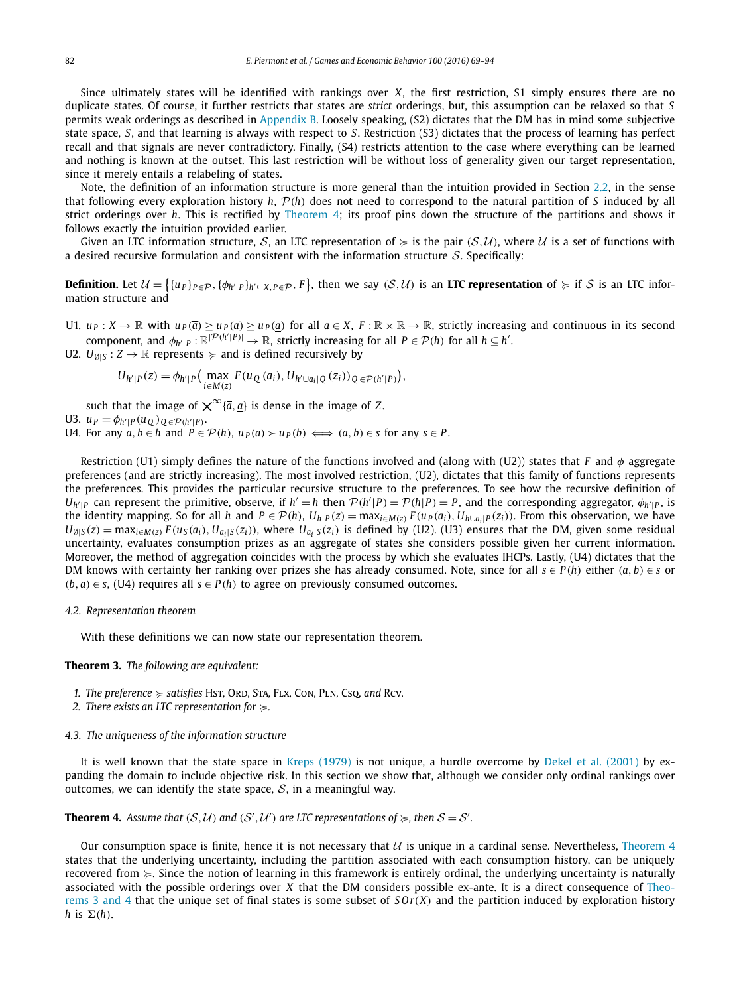<span id="page-13-0"></span>Since ultimately states will be identified with rankings over *X*, the first restriction, S1 simply ensures there are no duplicate states. Of course, it further restricts that states are *strict* orderings, but, this assumption can be relaxed so that *S* permits weak orderings as described in [Appendix B.](#page-22-0) Loosely speaking, (S2) dictates that the DM has in mind some subjective state space, *S*, and that learning is always with respect to *S*. Restriction (S3) dictates that the process of learning has perfect recall and that signals are never contradictory. Finally, (S4) restricts attention to the case where everything can be learned and nothing is known at the outset. This last restriction will be without loss of generality given our target representation, since it merely entails a relabeling of states.

Note, the definition of an information structure is more general than the intuition provided in Section [2.2,](#page-3-0) in the sense that following every exploration history *<sup>h</sup>*, P*(h)* does not need to correspond to the natural partition of *<sup>S</sup>* induced by all strict orderings over *h*. This is rectified by Theorem 4; its proof pins down the structure of the partitions and shows it follows exactly the intuition provided earlier.

Given an LTC information structure, S, an LTC representation of  $\succcurlyeq$  is the pair  $(S, U)$ , where U is a set of functions with a desired recursive formulation and consistent with the information structure  $S$ . Specifically:

**Definition.** Let  $\mathcal{U} = \{(u_P)_{P \in \mathcal{P}}, \{\phi_{h'|P}\}_{h' \subseteq X, P \in \mathcal{P}}, F\}$ , then we say  $(\mathcal{S}, \mathcal{U})$  is an **LTC representation** of  $\succcurlyeq$  if  $\mathcal{S}$  is an LTC information structure and

U1.  $u_P: X \to \mathbb{R}$  with  $u_P(\overline{a}) \geq u_P(a) \geq u_P(\underline{a})$  for all  $a \in X$ ,  $F: \mathbb{R} \times \mathbb{R} \to \mathbb{R}$ , strictly increasing and continuous in its second component, and  $\phi_{h'|P}: \mathbb{R}^{|\mathcal{P}(h'|P)|} \to \mathbb{R}$ , strictly increasing for all  $P \in \mathcal{P}(h)$  for all  $h \subseteq h'$ .

U2.  $U_{\emptyset|\mathsf{S}}:Z\to\mathbb{R}$  represents  $\succcurlyeq$  and is defined recursively by

$$
U_{h'|P}(z) = \phi_{h'|P}\Big(\max_{i \in M(z)} F(u_{Q}(a_{i}), U_{h'\cup a_{i}|Q}(z_{i}))_{Q \in \mathcal{P}(h'|P)}\Big),\,
$$

such that the image of  $\times^{\infty}$ { $\overline{a}$ , *a*} is dense in the image of *Z*.

- U3.  $u_P = \phi_{h'|P}(u_Q)_{Q \in \mathcal{P}(h'|P)}$ .
- U4. For any  $a, b \in h$  and  $P \in \mathcal{P}(h)$ ,  $u_P(a) > u_P(b) \iff (a, b) \in s$  for any  $s \in P$ .

Restriction (U1) simply defines the nature of the functions involved and (along with (U2)) states that *F* and *φ* aggregate preferences (and are strictly increasing). The most involved restriction, (U2), dictates that this family of functions represents the preferences. This provides the particular recursive structure to the preferences. To see how the recursive definition of  $U_{h'|P}$  can represent the primitive, observe, if  $h'=h$  then  $P(h'|P) = P(h|P) = P$ , and the corresponding aggregator,  $\phi_{h'|P}$ , is the identity mapping. So for all h and  $P \in \mathcal{P}(h)$ ,  $U_{h|P}(z) = \max_{i \in M(z)} F(u_P(a_i), U_{h|a_i|P}(z_i))$ . From this observation, we have  $U_{\emptyset|S}(z)$  = max<sub>i∈M(z)</sub>  $F(u_S(a_i), U_{a_i|S}(z_i))$ , where  $U_{a_i|S}(z_i)$  is defined by (U2). (U3) ensures that the DM, given some residual uncertainty, evaluates consumption prizes as an aggregate of states she considers possible given her current information. Moreover, the method of aggregation coincides with the process by which she evaluates IHCPs. Lastly, (U4) dictates that the DM knows with certainty her ranking over prizes she has already consumed. Note, since for all  $s \in P(h)$  either  $(a, b) \in s$  or *(b, a)* ∈ *s*, (U4) requires all *s* ∈ *P(h)* to agree on previously consumed outcomes.

#### *4.2. Representation theorem*

With these definitions we can now state our representation theorem.

#### **Theorem 3.** *The following are equivalent:*

- *1. The preference satisfies* Hst*,* Ord*,* Sta*,* Flx*,* Con*,* Pln*,* Csq*, and* Rcv*.*
- 2. There exists an LTC representation for  $\succcurlyeq$ .

#### *4.3. The uniqueness of the information structure*

It is well known that the state space in [Kreps \(1979\)](#page-25-0) is not unique, a hurdle overcome by Dekel et [al. \(2001\)](#page-25-0) by expanding the domain to include objective risk. In this section we show that, although we consider only ordinal rankings over outcomes, we can identify the state space,  $S$ , in a meaningful way.

**Theorem 4.** Assume that  $(S, U)$  and  $(S', U')$  are LTC representations of  $\succcurlyeq$ , then  $S = S'$ .

Our consumption space is finite, hence it is not necessary that  $U$  is unique in a cardinal sense. Nevertheless, Theorem 4 states that the underlying uncertainty, including the partition associated with each consumption history, can be uniquely recovered from  $\succcurlyeq$  Since the notion of learning in this framework is entirely ordinal, the underlying uncertainty is naturally associated with the possible orderings over *X* that the DM considers possible ex-ante. It is a direct consequence of Theorems 3 and 4 that the unique set of final states is some subset of *SOr(X)* and the partition induced by exploration history *h* is  $\Sigma(h)$ .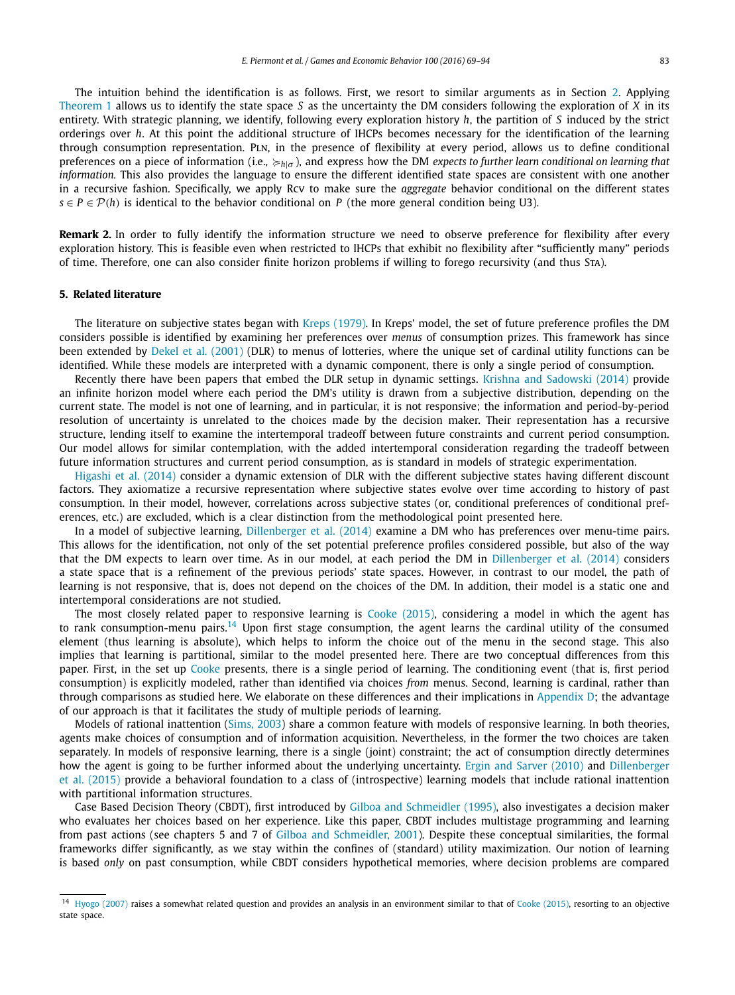<span id="page-14-0"></span>The intuition behind the identification is as follows. First, we resort to similar arguments as in Section [2.](#page-2-0) Applying [Theorem 1](#page-3-0) allows us to identify the state space *S* as the uncertainty the DM considers following the exploration of *X* in its entirety. With strategic planning, we identify, following every exploration history *h*, the partition of *S* induced by the strict orderings over *h*. At this point the additional structure of IHCPs becomes necessary for the identification of the learning through consumption representation. PLN, in the presence of flexibility at every period, allows us to define conditional *preferences on a piece of information (i.e.,*  $\succcurlyeq_{h|\sigma}$ *), and express how the DM <i>expects to further learn conditional on learning that information.* This also provides the language to ensure the different identified state spaces are consistent with one another in a recursive fashion. Specifically, we apply Rcv to make sure the *aggregate* behavior conditional on the different states *s* ∈ *P* ∈  $P$ (*h*) is identical to the behavior conditional on *P* (the more general condition being U3).

**Remark 2.** In order to fully identify the information structure we need to observe preference for flexibility after every exploration history. This is feasible even when restricted to IHCPs that exhibit no flexibility after "sufficiently many" periods of time. Therefore, one can also consider finite horizon problems if willing to forego recursivity (and thus Sta).

#### **5. Related literature**

The literature on subjective states began with [Kreps \(1979\).](#page-25-0) In Kreps' model, the set of future preference profiles the DM considers possible is identified by examining her preferences over *menus* of consumption prizes. This framework has since been extended by Dekel et [al. \(2001\)](#page-25-0) (DLR) to menus of lotteries, where the unique set of cardinal utility functions can be identified. While these models are interpreted with a dynamic component, there is only a single period of consumption.

Recently there have been papers that embed the DLR setup in dynamic settings. Krishna and [Sadowski \(2014\)](#page-25-0) provide an infinite horizon model where each period the DM's utility is drawn from a subjective distribution, depending on the current state. The model is not one of learning, and in particular, it is not responsive; the information and period-by-period resolution of uncertainty is unrelated to the choices made by the decision maker. Their representation has a recursive structure, lending itself to examine the intertemporal tradeoff between future constraints and current period consumption. Our model allows for similar contemplation, with the added intertemporal consideration regarding the tradeoff between future information structures and current period consumption, as is standard in models of strategic experimentation.

Higashi et [al. \(2014\)](#page-25-0) consider a dynamic extension of DLR with the different subjective states having different discount factors. They axiomatize a recursive representation where subjective states evolve over time according to history of past consumption. In their model, however, correlations across subjective states (or, conditional preferences of conditional preferences, etc.) are excluded, which is a clear distinction from the methodological point presented here.

In a model of subjective learning, [Dillenberger](#page-25-0) et al. (2014) examine a DM who has preferences over menu-time pairs. This allows for the identification, not only of the set potential preference profiles considered possible, but also of the way that the DM expects to learn over time. As in our model, at each period the DM in [Dillenberger](#page-25-0) et al. (2014) considers a state space that is a refinement of the previous periods' state spaces. However, in contrast to our model, the path of learning is not responsive, that is, does not depend on the choices of the DM. In addition, their model is a static one and intertemporal considerations are not studied.

The most closely related paper to responsive learning is [Cooke \(2015\),](#page-25-0) considering a model in which the agent has to rank consumption-menu pairs.<sup>14</sup> Upon first stage consumption, the agent learns the cardinal utility of the consumed element (thus learning is absolute), which helps to inform the choice out of the menu in the second stage. This also implies that learning is partitional, similar to the model presented here. There are two conceptual differences from this paper. First, in the set up [Cooke](#page-25-0) presents, there is a single period of learning. The conditioning event (that is, first period consumption) is explicitly modeled, rather than identified via choices *from* menus. Second, learning is cardinal, rather than through comparisons as studied here. We elaborate on these differences and their implications in [Appendix D;](#page-24-0) the advantage of our approach is that it facilitates the study of multiple periods of learning.

Models of rational inattention [\(Sims,](#page-25-0) 2003) share a common feature with models of responsive learning. In both theories, agents make choices of consumption and of information acquisition. Nevertheless, in the former the two choices are taken separately. In models of responsive learning, there is a single (joint) constraint; the act of consumption directly determines how the agent is going to be further informed about the underlying uncertainty. Ergin and [Sarver \(2010\)](#page-25-0) and [Dillenberger](#page-25-0) et [al. \(2015\)](#page-25-0) provide a behavioral foundation to a class of (introspective) learning models that include rational inattention with partitional information structures.

Case Based Decision Theory (CBDT), first introduced by Gilboa and [Schmeidler \(1995\),](#page-25-0) also investigates a decision maker who evaluates her choices based on her experience. Like this paper, CBDT includes multistage programming and learning from past actions (see chapters 5 and 7 of Gilboa and [Schmeidler,](#page-25-0) 2001). Despite these conceptual similarities, the formal frameworks differ significantly, as we stay within the confines of (standard) utility maximization. Our notion of learning is based *only* on past consumption, while CBDT considers hypothetical memories, where decision problems are compared

<sup>14</sup> [Hyogo \(2007\)](#page-25-0) raises a somewhat related question and provides an analysis in an environment similar to that of [Cooke \(2015\),](#page-25-0) resorting to an objective state space.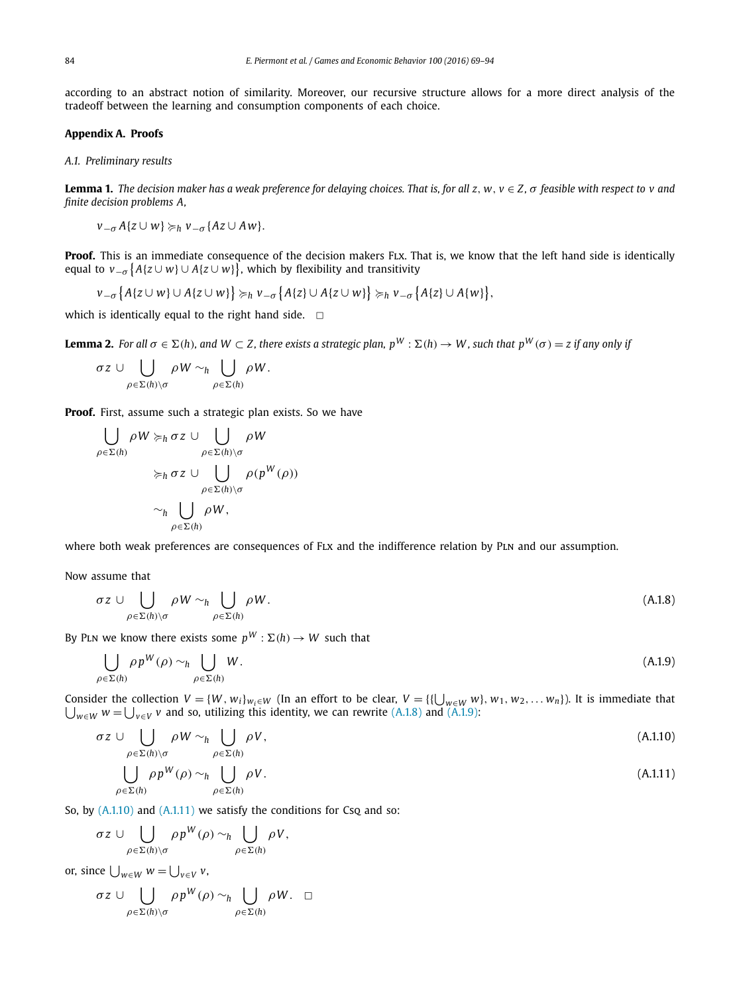<span id="page-15-0"></span>according to an abstract notion of similarity. Moreover, our recursive structure allows for a more direct analysis of the tradeoff between the learning and consumption components of each choice.

### **Appendix A. Proofs**

*A.1. Preliminary results*

**Lemma 1.** The decision maker has a weak preference for delaying choices. That is, for all  $z, w, v \in Z$ ,  $\sigma$  feasible with respect to v and *finite decision problems A,*

 $v_{-\sigma}A\{z \cup w\} \succcurlyeq_h v_{-\sigma}\{Az \cup Aw\}.$ 

**Proof.** This is an immediate consequence of the decision makers FLx. That is, we know that the left hand side is identically equal to *v*−*σ A*{*z* ∪ *w*} ∪ *A*{*z* ∪ *w*} , which by flexibility and transitivity

 $v_{-\sigma}\big\{A\{z \cup w\} \cup A\{z \cup w\}\big\} \succcurlyeq_h v_{-\sigma}\big\{A\{z\} \cup A\{z \cup w\}\big\} \succcurlyeq_h v_{-\sigma}\big\{A\{z\} \cup A\{w\}\big\},$ 

which is identically equal to the right hand side.  $\Box$ 

**Lemma 2.** For all  $\sigma \in \Sigma(h)$ , and  $W \subset Z$ , there exists a strategic plan,  $p^W : \Sigma(h) \to W$ , such that  $p^W(\sigma) = z$  if any only if

$$
\sigma z \cup \bigcup_{\rho \in \Sigma(h) \setminus \sigma} \rho W \sim_h \bigcup_{\rho \in \Sigma(h)} \rho W.
$$

**Proof.** First, assume such a strategic plan exists. So we have

$$
\bigcup_{\rho \in \Sigma(h)} \rho W \succcurlyeq_h \sigma z \cup \bigcup_{\rho \in \Sigma(h) \setminus \sigma} \rho W
$$
\n
$$
\succcurlyeq_h \sigma z \cup \bigcup_{\rho \in \Sigma(h) \setminus \sigma} \rho (p^W(\rho))
$$
\n
$$
\sim_h \bigcup_{\rho \in \Sigma(h)} \rho W,
$$

where both weak preferences are consequences of FLX and the indifference relation by PLN and our assumption.

Now assume that

$$
\sigma z \cup \bigcup_{\rho \in \Sigma(h)\setminus \sigma} \rho W \sim_h \bigcup_{\rho \in \Sigma(h)} \rho W. \tag{A.1.8}
$$

By PLN we know there exists some  $p^W : \Sigma(h) \to W$  such that

$$
\bigcup_{\rho \in \Sigma(h)} \rho p^W(\rho) \sim_h \bigcup_{\rho \in \Sigma(h)} W. \tag{A.1.9}
$$

Consider the collection  $V = \{W, w_i\}_{w_i \in W}$  (In an effort to be clear,  $V = \{\{\bigcup_{w \in W} w\}, w_1, w_2, \dots w_n\}\}\)$ . It is immediate that  $\bigcup_{w \in W} w = \bigcup_{v \in V} v$  and so, utilizing this identity, we can rewrite (A.1.8) and (A.1.9):  $w \in W$   $W = \bigcup_{v \in V} v$  and so, utilizing this identity, we can rewrite (A.1.8) and (A.1.9):

$$
\sigma z \cup \bigcup_{\rho \in \Sigma(h)\setminus \sigma} \rho W \sim_h \bigcup_{\rho \in \Sigma(h)} \rho V, \tag{A.1.10}
$$

$$
\bigcup_{\rho \in \Sigma(h)} \rho p^W(\rho) \sim_h \bigcup_{\rho \in \Sigma(h)} \rho V. \tag{A.1.11}
$$

So, by  $(A.1.10)$  and  $(A.1.11)$  we satisfy the conditions for Csq and so:

$$
\sigma z \cup \bigcup_{\rho \in \Sigma(h) \setminus \sigma} \rho p^W(\rho) \sim_h \bigcup_{\rho \in \Sigma(h)} \rho V,
$$

or, since  $\bigcup_{w \in W} w = \bigcup_{v \in V} v$ ,

$$
\sigma z \cup \bigcup_{\rho \in \Sigma(h) \setminus \sigma} \rho p^W(\rho) \sim_h \bigcup_{\rho \in \Sigma(h)} \rho W. \quad \Box
$$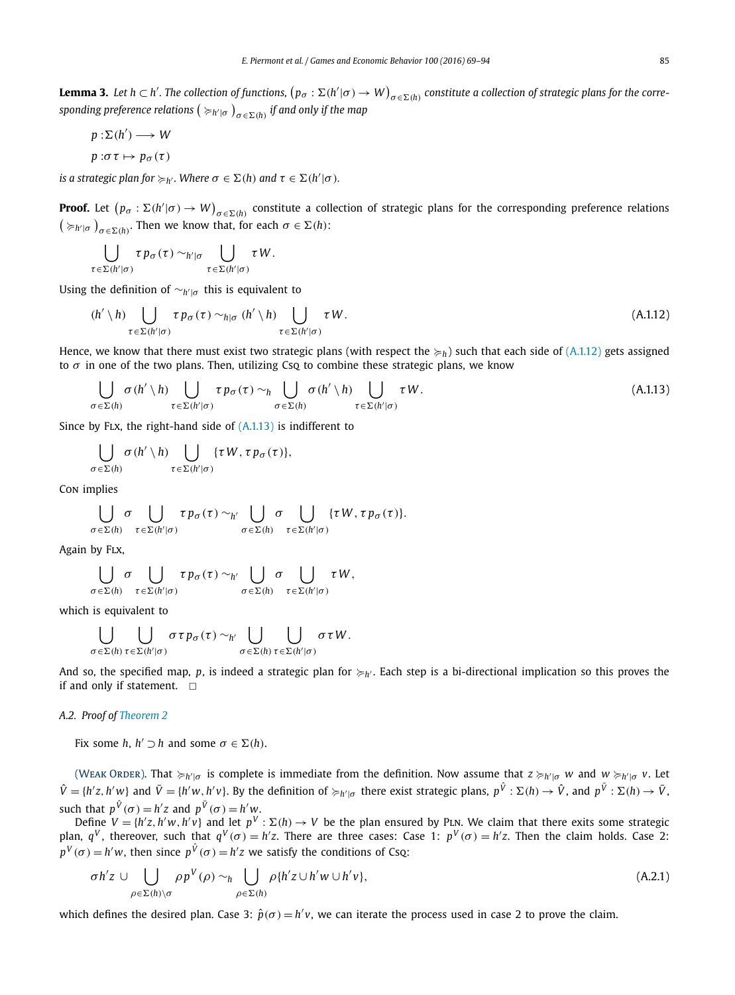<span id="page-16-0"></span>**Lemma 3.** Let  $h\subset h'$ . The collection of functions,  $\big(p_\sigma:\Sigma(h'|\sigma)\to W\big)_{\sigma\in\Sigma(h)}$  constitute a collection of strategic plans for the corre $s$  *ponding preference relations*  $( \succcurlyeq _{h'\mid \sigma} )_{\sigma \in \Sigma (h)}$  *<i>if and only if the map* 

$$
p:\Sigma(h') \longrightarrow W
$$

$$
p:\sigma \tau \mapsto p_{\sigma}(\tau)
$$

*is a strategic plan for*  $\succcurlyeq_{h'}$ *. Where*  $\sigma \in \Sigma(h)$  *and*  $\tau \in \Sigma(h'|\sigma)$ *.* 

**Proof.** Let  $(p_{\sigma} : \Sigma(h'|\sigma) \to W)_{\sigma \in \Sigma(h)}$  constitute a collection of strategic plans for the corresponding preference relations  $\left(\succcurlyeq_{h'|\sigma}\right)_{\sigma\in\Sigma(h)}$ . Then we know that, for each  $\sigma\in\Sigma(h)$ :

$$
\bigcup_{\tau \in \Sigma(h'|\sigma)} \tau p_{\sigma}(\tau) \sim_{h'|\sigma} \bigcup_{\tau \in \Sigma(h'|\sigma)} \tau W.
$$

Using the definition of ∼*h* |*σ* this is equivalent to

$$
(h' \setminus h) \bigcup_{\tau \in \Sigma(h'|\sigma)} \tau p_{\sigma}(\tau) \sim_{h|\sigma} (h' \setminus h) \bigcup_{\tau \in \Sigma(h'|\sigma)} \tau W.
$$
\n(A.1.12)

Hence, we know that there must exist two strategic plans (with respect the  $\succcurlyeq_{h}$ ) such that each side of (A.1.12) gets assigned to  $\sigma$  in one of the two plans. Then, utilizing CsQ to combine these strategic plans, we know

$$
\bigcup_{\sigma \in \Sigma(h)} \sigma(h' \setminus h) \bigcup_{\tau \in \Sigma(h'|\sigma)} \tau p_{\sigma}(\tau) \sim_h \bigcup_{\sigma \in \Sigma(h)} \sigma(h' \setminus h) \bigcup_{\tau \in \Sigma(h'|\sigma)} \tau W.
$$
\n(A.1.13)

Since by FLx, the right-hand side of  $(A.1.13)$  is indifferent to

$$
\bigcup_{\sigma \in \Sigma(h)} \sigma(h' \setminus h) \bigcup_{\tau \in \Sigma(h'|\sigma)} \{\tau W, \tau p_{\sigma}(\tau)\},\
$$

Con implies

$$
\bigcup_{\sigma \in \Sigma(h)} \sigma \bigcup_{\tau \in \Sigma(h'|\sigma)} \tau p_{\sigma}(\tau) \sim_{h'} \bigcup_{\sigma \in \Sigma(h)} \sigma \bigcup_{\tau \in \Sigma(h'|\sigma)} \{\tau W, \tau p_{\sigma}(\tau)\}.
$$

Again by FLx,

$$
\bigcup_{\sigma \in \Sigma(h)} \sigma \bigcup_{\tau \in \Sigma(h'|\sigma)} \tau p_{\sigma}(\tau) \sim_{h'} \bigcup_{\sigma \in \Sigma(h)} \sigma \bigcup_{\tau \in \Sigma(h'|\sigma)} \tau W,
$$

which is equivalent to

$$
\bigcup_{\sigma\in\Sigma(h)}\bigcup_{\tau\in\Sigma(h'|\sigma)}\sigma\tau p_{\sigma}(\tau)\sim_{h'}\bigcup_{\sigma\in\Sigma(h)}\bigcup_{\tau\in\Sigma(h'|\sigma)}\sigma\tau W.
$$

And so, the specified map,  $p$ , is indeed a strategic plan for  $\succcurlyeq_{h'}$ . Each step is a bi-directional implication so this proves the if and only if statement.  $\Box$ 

# *A.2. Proof of [Theorem 2](#page-11-0)*

Fix some *h*,  $h' \supset h$  and some  $\sigma \in \Sigma(h)$ .

*(WEAK ORDER). That*  $\succ_{h'|\sigma}$  is complete is immediate from the definition. Now assume that *z*  $\succ_{h'|\sigma}$  *w* and *w*  $\succ_{h'|\sigma}$  *v*. Let  $\hat{V}=\{h'z,h'w\}$  and  $\bar{V}=\{h'w,h'v\}.$  By the definition of  $\succcurlyeq_{h'|\sigma}$  there exist strategic plans,  $p^{\hat{V}}:\Sigma(h)\to\hat{V}$ , and  $p^{\bar{V}}:\Sigma(h)\to\bar{V},$ such that  $p^{\hat{V}}(\sigma) = h'z$  and  $p^{\bar{V}}(\sigma) = h'w$ .<br>Define  $V = \{h'z, h'w, h'v\}$  and let  $p^V : \Sigma(h) \to V$  be the plan ensured by PLN. We claim that there exits some strategic

plan,  $q^V$ , thereover, such that  $q^V(\sigma) = h'z$ . There are three cases: Case 1:  $p^V(\sigma) = h'z$ . Then the claim holds. Case 2:  $p^V(\sigma) = h'w$ , then since  $p^{\hat{V}}(\sigma) = h'z$  we satisfy the conditions of Csq:

$$
\sigma h'z \cup \bigcup_{\rho \in \Sigma(h)\setminus \sigma} \rho p^V(\rho) \sim_h \bigcup_{\rho \in \Sigma(h)} \rho \{h'z \cup h'w \cup h'v\},\tag{A.2.1}
$$

which defines the desired plan. Case 3:  $\hat{p}(\sigma) = h'v$ , we can iterate the process used in case 2 to prove the claim.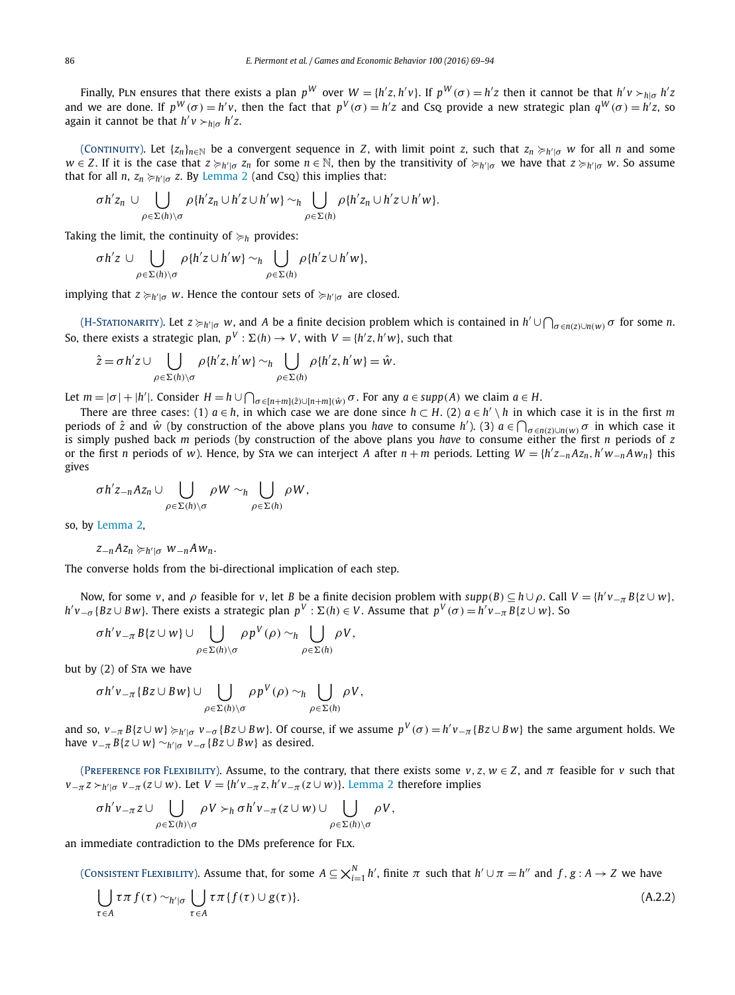Finally, PLN ensures that there exists a plan  $p^W$  over  $W=\{h'z,h'v\}$ . If  $p^W(\sigma)=h'z$  then it cannot be that  $h'v>_{h|\sigma}h'z$ and we are done. If  $p^W(\sigma) = h'v$ , then the fact that  $p^V(\sigma) = h'z$  and CsQ provide a new strategic plan  $q^W(\sigma) = h'z$ , so again it cannot be that  $h'v \succ_{h|\sigma} h'z$ .

(CONTINUITY). Let  $\{z_n\}_{n\in\mathbb{N}}$  be a convergent sequence in *Z*, with limit point *z*, such that  $z_n \succcurlyeq_{h'|\sigma} w$  for all *n* and some  $w \in Z$ . If it is the case that  $z \succcurlyeq_{h'|\sigma} z_n$  for some  $n \in \mathbb{N}$ , then by the transitivity of  $\succcurlyeq_{h'|\sigma}$  we have that  $z \succcurlyeq_{h'|\sigma} w$ . So assume that for all *n*,  $z_n \succcurlyeq_{h'|\sigma} z$ . By [Lemma 2](#page-15-0) (and Csq) this implies that:

$$
\sigma h' z_n \cup \bigcup_{\rho \in \Sigma(h) \setminus \sigma} \rho \{h' z_n \cup h' z \cup h' w\} \sim_h \bigcup_{\rho \in \Sigma(h)} \rho \{h' z_n \cup h' z \cup h' w\}.
$$

Taking the limit, the continuity of  $\succcurlyeq_h$  provides:

$$
\sigma h'z \cup \bigcup_{\rho \in \Sigma(h)\setminus \sigma} \rho\{h'z \cup h'w\} \sim_h \bigcup_{\rho \in \Sigma(h)} \rho\{h'z \cup h'w\},\
$$

 $\lim$ plying that  $z \succcurlyeq_{h'|\sigma} w$ . Hence the contour sets of  $\succcurlyeq_{h'|\sigma}$  are closed.

(H-STATIONARITY). Let  $z \succ_{h'|\sigma} w$ , and A be a finite decision problem which is contained in  $h' \cup \bigcap_{\sigma \in n(z) \cup n(w)} \sigma$  for some n. So, there exists a strategic plan,  $p^V : \Sigma(h) \rightarrow V$ , with  $V = \{h'z, h'w\}$ , such that

$$
\hat{z} = \sigma h' z \cup \bigcup_{\rho \in \Sigma(h) \setminus \sigma} \rho \{h' z, h' w\} \sim_h \bigcup_{\rho \in \Sigma(h)} \rho \{h' z, h' w\} = \hat{w}.
$$

Let  $m = |\sigma| + |h'|$ . Consider  $H = h \cup \bigcap_{\sigma \in [n+m]} (\hat{z}) \cup [n+m](\hat{w})$   $\sigma$ . For any  $a \in supp(A)$  we claim  $a \in H$ .

There are three cases: (1)  $a \in h$ , in which case we are done since  $h \subset H$ . (2)  $a \in h' \setminus h$  in which case it is in the first *m* periods of  $\hat{z}$  and  $\hat{w}$  (by construction of the above plans you have to consume h'). (3)  $a \in \bigcap_{\sigma \in n(z) \cup n(w)} \sigma$  in which case it is simply pushed back *m* periods (by construction of the above plans you *have* to consume either the first *n* periods of *z* or the first *n* periods of *w*). Hence, by STA we can interject *A* after  $n+m$  periods. Letting  $W = \{h'z_{-n}Az_n, h'w_{-n}Aw_n\}$  this gives

$$
\sigma h' z_{-n} A z_n \cup \bigcup_{\rho \in \Sigma(h) \setminus \sigma} \rho W \sim_h \bigcup_{\rho \in \Sigma(h)} \rho W,
$$

so, by [Lemma 2,](#page-15-0)

$$
z_{-n}Az_n\succcurlyeq_{h'|\sigma} w_{-n}Aw_n.
$$

The converse holds from the bi-directional implication of each step.

Now, for some v, and  $\rho$  feasible for v, let B be a finite decision problem with  $supp(B) \subseteq h \cup \rho$ . Call  $V = \{h'v_{-\pi}B\{z \cup w\},\}$  $h'v_{-\sigma}$  {Bz $\cup$  Bw}. There exists a strategic plan  $p^V$  :  $\Sigma(h) \in V$ . Assume that  $p^V(\sigma) = h'v_{-\pi}B\{z \cup w\}$ . So

$$
\sigma h' v_{-\pi} B\{z \cup w\} \cup \bigcup_{\rho \in \Sigma(h) \setminus \sigma} \rho p^V(\rho) \sim_h \bigcup_{\rho \in \Sigma(h)} \rho V,
$$

but by (2) of Sta we have

*τ*∈*A*

$$
\sigma h' v_{-\pi} \{ Bz \cup Bw \} \cup \bigcup_{\rho \in \Sigma(h) \setminus \sigma} \rho p^V(\rho) \sim_h \bigcup_{\rho \in \Sigma(h)} \rho V,
$$

and so,  $v_{-\pi}B\{z\cup w\}\succcurlyeq_{h'|\sigma} v_{-\sigma}\{Bz\cup Bw\}$ . Of course, if we assume  $p^V(\sigma)=h'v_{-\pi}\{Bz\cup Bw\}$  the same argument holds. We have  $v_{-\pi} B\{z \cup w\} \sim_{h'|\sigma} v_{-\sigma} \{Bz \cup Bw\}$  as desired.

(PREFERENCE FOR FLEXIBILITY). Assume, to the contrary, that there exists some  $v, z, w \in Z$ , and  $\pi$  feasible for  $v$  such that  $v_{-\pi}z \succ_{h'|\sigma} v_{-\pi}(z \cup w)$ . Let  $V = \{h'v_{-\pi}z, h'v_{-\pi}(z \cup w)\}\$ . [Lemma 2](#page-15-0) therefore implies

$$
\sigma h'v_{-\pi}z\cup \bigcup_{\rho\in \Sigma(h)\backslash \sigma}\rho V\succ_h\sigma h'v_{-\pi}(z\cup w)\cup \bigcup_{\rho\in \Sigma(h)\backslash \sigma}\rho V,
$$

an immediate contradiction to the DMs preference for FLX.

 $($  CONSISTENT FLEXIBILITY). Assume that, for some  $A\subseteq\bigtimes_{i=1}^Nh'$ , finite  $\pi$  such that  $h'\cup\pi=h''$  and  $f,g:A\to Z$  we have

$$
\bigcup_{\tau \in A} \tau \pi f(\tau) \sim_{h' \mid \sigma} \bigcup_{\tau \in A} \tau \pi \{f(\tau) \cup g(\tau)\}.
$$
\n(A.2.2)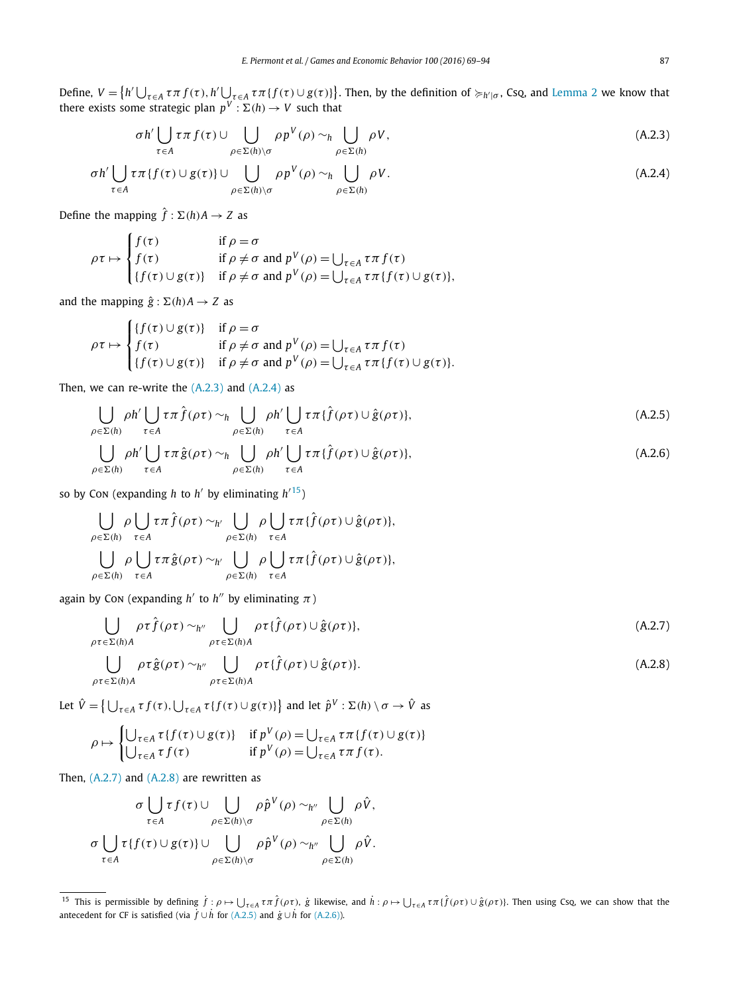Define,  $V = \left\{h' \bigcup_{\tau \in A} \tau \pi f(\tau), h' \bigcup_{\tau \in A} \tau \pi \{f(\tau) \cup g(\tau)\}\right\}$ . Then, by the definition of  $\succcurlyeq_{h'|\sigma}$ , Csq, and [Lemma 2](#page-15-0) we know that there exists some strategic plan  $p^V : \Sigma(h) \rightarrow V$  such that

$$
\sigma h' \bigcup_{\tau \in A} \tau \pi f(\tau) \cup \bigcup_{\rho \in \Sigma(h) \setminus \sigma} \rho p^V(\rho) \sim_h \bigcup_{\rho \in \Sigma(h)} \rho V,
$$
\n(A.2.3)

$$
\sigma h' \bigcup_{\tau \in A} \tau \pi \{ f(\tau) \cup g(\tau) \} \cup \bigcup_{\rho \in \Sigma(h) \setminus \sigma} \rho p^V(\rho) \sim_h \bigcup_{\rho \in \Sigma(h)} \rho V. \tag{A.2.4}
$$

Define the mapping  $\hat{f}$  :  $\Sigma(h)A \rightarrow Z$  as

$$
\rho \tau \mapsto \begin{cases}\nf(\tau) & \text{if } \rho = \sigma \\
f(\tau) & \text{if } \rho \neq \sigma \text{ and } p^V(\rho) = \bigcup_{\tau \in A} \tau \pi f(\tau) \\
\{f(\tau) \cup g(\tau)\} & \text{if } \rho \neq \sigma \text{ and } p^V(\rho) = \bigcup_{\tau \in A} \tau \pi \{f(\tau) \cup g(\tau)\},\n\end{cases}
$$

and the mapping  $\hat{g}$  :  $\Sigma(h)A \rightarrow Z$  as

$$
\rho \tau \mapsto \begin{cases}\n\{f(\tau) \cup g(\tau)\} & \text{if } \rho = \sigma \\
f(\tau) & \text{if } \rho \neq \sigma \text{ and } p^V(\rho) = \bigcup_{\tau \in A} \tau \pi f(\tau) \\
\{f(\tau) \cup g(\tau)\} & \text{if } \rho \neq \sigma \text{ and } p^V(\rho) = \bigcup_{\tau \in A} \tau \pi f(\tau) \cup g(\tau)\}.\n\end{cases}
$$

Then, we can re-write the  $(A.2.3)$  and  $(A.2.4)$  as

$$
\bigcup_{\rho \in \Sigma(h)} \rho h' \bigcup_{\tau \in A} \tau \hat{\mathbf{f}}(\rho \tau) \sim_h \bigcup_{\rho \in \Sigma(h)} \rho h' \bigcup_{\tau \in A} \tau \pi \{ \hat{\mathbf{f}}(\rho \tau) \cup \hat{\mathbf{g}}(\rho \tau) \},\tag{A.2.5}
$$

$$
\bigcup_{\rho \in \Sigma(h)} \rho h' \bigcup_{\tau \in A} \tau \hat{\mathbf{g}}(\rho \tau) \sim_h \bigcup_{\rho \in \Sigma(h)} \rho h' \bigcup_{\tau \in A} \tau \pi \{\hat{f}(\rho \tau) \cup \hat{\mathbf{g}}(\rho \tau)\},\tag{A.2.6}
$$

so by Con (expanding *h* to *h'* by eliminating  $h'^{15}$ )

$$
\bigcup_{\rho \in \Sigma(h)} \rho \bigcup_{\tau \in A} \tau \hat{f}(\rho \tau) \sim_{h'} \bigcup_{\rho \in \Sigma(h)} \rho \bigcup_{\tau \in A} \tau \pi \{\hat{f}(\rho \tau) \cup \hat{g}(\rho \tau)\},
$$
\n
$$
\bigcup_{\rho \in \Sigma(h)} \rho \bigcup_{\tau \in A} \tau \hat{g}(\rho \tau) \sim_{h'} \bigcup_{\rho \in \Sigma(h)} \rho \bigcup_{\tau \in A} \tau \pi \{\hat{f}(\rho \tau) \cup \hat{g}(\rho \tau)\},
$$

again by Con (expanding  $h'$  to  $h''$  by eliminating  $\pi$ )

$$
\bigcup_{\rho\tau\in\Sigma(h)A} \rho\tau\hat{f}(\rho\tau) \sim_{h''} \bigcup_{\rho\tau\in\Sigma(h)A} \rho\tau\{\hat{f}(\rho\tau)\cup\hat{g}(\rho\tau)\},\tag{A.2.7}
$$
\n
$$
\bigcup_{\rho\tau\in\Sigma(h)A} \rho\tau\hat{g}(\rho\tau) \sim_{h''} \bigcup_{\rho\tau\in\Sigma(h)A} \rho\tau\{\hat{f}(\rho\tau)\cup\hat{g}(\rho\tau)\}.
$$

Let  $\hat{V} = \left\{ \bigcup_{\tau \in A} \tau f(\tau), \bigcup_{\tau \in A} \tau \{ f(\tau) \cup g(\tau) \} \right\}$  and let  $\hat{p}^V : \Sigma(h) \setminus \sigma \to \hat{V}$  as

$$
\rho \mapsto \begin{cases} \bigcup_{\tau \in A} \tau \{ f(\tau) \cup g(\tau) \} & \text{if } p^V(\rho) = \bigcup_{\tau \in A} \tau \pi \{ f(\tau) \cup g(\tau) \} \\ \bigcup_{\tau \in A} \tau f(\tau) & \text{if } p^V(\rho) = \bigcup_{\tau \in A} \tau \pi f(\tau). \end{cases}
$$

Then,  $(A.2.7)$  and  $(A.2.8)$  are rewritten as

$$
\sigma \bigcup_{\tau \in A} \tau f(\tau) \cup \bigcup_{\rho \in \Sigma(h) \setminus \sigma} \rho \hat{p}^V(\rho) \sim_{h''} \bigcup_{\rho \in \Sigma(h)} \rho \hat{V},
$$
  

$$
\sigma \bigcup_{\tau \in A} \tau \{f(\tau) \cup g(\tau)\} \cup \bigcup_{\rho \in \Sigma(h) \setminus \sigma} \rho \hat{p}^V(\rho) \sim_{h''} \bigcup_{\rho \in \Sigma(h)} \rho \hat{V}.
$$

<sup>&</sup>lt;sup>15</sup> This is permissible by defining  $f:\rho\mapsto\bigcup_{\tau\in A}\tau\pi \hat{f}(\rho\tau)$ ,  $\dot{g}$  likewise, and  $h:\rho\mapsto\bigcup_{\tau\in A}\tau\pi\{\hat{f}(\rho\tau)\cup\hat{g}(\rho\tau)\}$ . Then using Csq, we can show that the antecedent for CF is satisfied (via ˙ *f* ∪ *h*˙ for (A.2.5) and *g*˙ ∪ *h*˙ for (A.2.6)).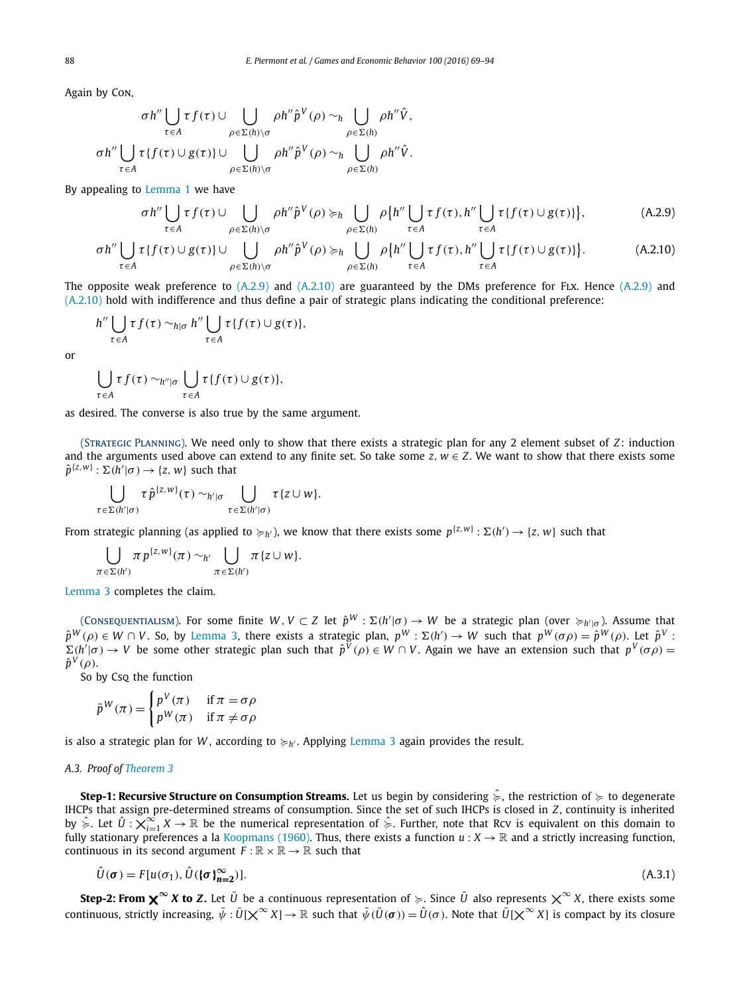<span id="page-19-0"></span>Again by Con,

$$
\sigma h'' \bigcup_{\tau \in A} \tau f(\tau) \cup \bigcup_{\rho \in \Sigma(h) \setminus \sigma} \rho h'' \hat{p}^V(\rho) \sim_h \bigcup_{\rho \in \Sigma(h)} \rho h'' \hat{V},
$$
  

$$
\sigma h'' \bigcup_{\tau \in A} \tau \{f(\tau) \cup g(\tau)\} \cup \bigcup_{\rho \in \Sigma(h) \setminus \sigma} \rho h'' \hat{p}^V(\rho) \sim_h \bigcup_{\rho \in \Sigma(h)} \rho h'' \hat{V}.
$$

By appealing to [Lemma 1](#page-15-0) we have

$$
\sigma h'' \bigcup_{\tau \in A} \tau f(\tau) \cup \bigcup_{\rho \in \Sigma(h) \setminus \sigma} \rho h'' \hat{p}^V(\rho) \succcurlyeq_h \bigcup_{\rho \in \Sigma(h)} \rho \{ h'' \bigcup_{\tau \in A} \tau f(\tau), h'' \bigcup_{\tau \in A} \tau \{ f(\tau) \cup g(\tau) \} \},\tag{A.2.9}
$$

$$
\sigma h'' \bigcup_{\tau \in A} \tau \{ f(\tau) \cup g(\tau) \} \cup \bigcup_{\rho \in \Sigma(h) \setminus \sigma} \rho h'' \hat{p}^V(\rho) \succcurlyeq_h \bigcup_{\rho \in \Sigma(h)} \rho \{ h'' \bigcup_{\tau \in A} \tau f(\tau), h'' \bigcup_{\tau \in A} \tau \{ f(\tau) \cup g(\tau) \} \}.
$$
 (A.2.10)

The opposite weak preference to  $(A.2.9)$  and  $(A.2.10)$  are guaranteed by the DMs preference for FLx. Hence  $(A.2.9)$  and (A.2.10) hold with indifference and thus define a pair of strategic plans indicating the conditional preference:

$$
h'' \bigcup_{\tau \in A} \tau f(\tau) \sim_{h|\sigma} h'' \bigcup_{\tau \in A} \tau \{f(\tau) \cup g(\tau)\},\
$$

or

$$
\bigcup_{\tau \in A} \tau f(\tau) \sim_{h''|\sigma} \bigcup_{\tau \in A} \tau \{f(\tau) \cup g(\tau)\},\
$$

as desired. The converse is also true by the same argument.

(Strategic Planning). We need only to show that there exists a strategic plan for any 2 element subset of *Z*: induction and the arguments used above can extend to any finite set. So take some  $z, w \in \mathbb{Z}$ . We want to show that there exists some  $\hat{p}^{\{z,w\}}$  :  $\Sigma(h'|\sigma) \rightarrow \{z,w\}$  such that

$$
\bigcup_{\tau \in \Sigma(h'|\sigma)} \tau \hat{p}^{\{z,w\}}(\tau) \sim_{h'|\sigma} \bigcup_{\tau \in \Sigma(h'|\sigma)} \tau \{z \cup w\}.
$$

From strategic planning (as applied to  $\succcurlyeq_{h'}$ ), we know that there exists some  $p^{\{z,w\}}:\Sigma(h')\to\{z,w\}$  such that

$$
\bigcup_{\pi \in \Sigma(h')} \pi p^{\{z,w\}}(\pi) \sim_{h'} \bigcup_{\pi \in \Sigma(h')} \pi \{z \cup w\}.
$$

[Lemma 3](#page-16-0) completes the claim.

(Consequentialism). For some finite  $W$ ,  $V\subset Z$  let  $\hat{p}^W$  :  $\Sigma(h'|\sigma)\to W$  be a strategic plan (over  $\succcurlyeq_{h'|\sigma}$ ). Assume that  $\hat{p}^W(\rho)\in W\cap V.$  So, by [Lemma 3,](#page-16-0) there exists a strategic plan,  $p^W:\Sigma(h')\to W$  such that  $p^W(\sigma\rho)=\hat{p}^W(\rho).$  Let  $\hat{p}^V$  :  $\Sigma(h'|\sigma) \to V$  be some other strategic plan such that  $\hat{p}^V(\rho) \in W \cap V$ . Again we have an extension such that  $p^V(\sigma \rho) =$  $\hat{p}^V(\rho)$ .

So by Cso the function

$$
\bar{p}^W(\pi) = \begin{cases} p^V(\pi) & \text{if } \pi = \sigma \rho \\ p^W(\pi) & \text{if } \pi \neq \sigma \rho \end{cases}
$$

is also a strategic plan for *W* , according to  $\succcurlyeq_{h'}$ . Applying [Lemma 3](#page-16-0) again provides the result.

#### *A.3. Proof of [Theorem 3](#page-13-0)*

**Step-1: Recursive Structure on Consumption Streams.** Let us begin by considering ⊱, the restriction of ≽ to degenerate IHCPs that assign pre-determined streams of consumption. Since the set of such IHCPs is closed in *Z*, continuity is inherited by  $\hat{\epsilon}$ . Let  $\hat{U}: X_{i=1}^{\infty} X \to \mathbb{R}$  be the numerical representation of  $\hat{\epsilon}$ . Further, note that Rcv is equivalent on this domain to fully stationary preferences a la [Koopmans \(1960\).](#page-25-0) Thus, there exists a function  $u : X \to \mathbb{R}$  and a strictly increasing function, continuous in its second argument  $F : \mathbb{R} \times \mathbb{R} \to \mathbb{R}$  such that

$$
\hat{U}(\sigma) = F[u(\sigma_1), \hat{U}(\{\sigma\}_{n=2}^{\infty})].
$$
\n(A.3.1)

**Step-2: From**  $\mathbf{x}^\infty X$  **to Z.** Let  $\bar{U}$  be a continuous representation of  $\succcurlyeq$ . Since  $\bar{U}$  also represents  $\times^\infty X$ , there exists some continuous, strictly increasing,  $\bar{\psi}: \bar{U}[\times^{\infty} X] \to \mathbb{R}$  such that  $\bar{\psi}(\bar{U}(\sigma)) = \hat{U}(\sigma)$ . Note that  $\bar{U}[\times^{\infty} X]$  is compact by its closure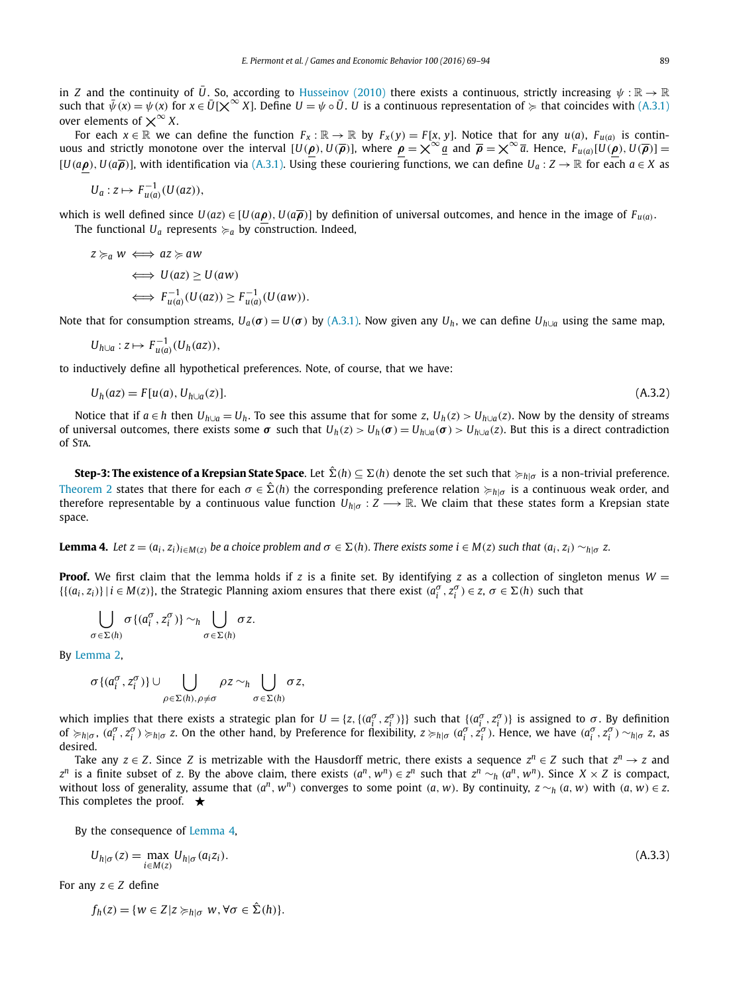<span id="page-20-0"></span>in *Z* and the continuity of  $\bar{U}$ . So, according to [Husseinov \(2010\)](#page-25-0) there exists a continuous, strictly increasing  $\psi : \mathbb{R} \to \mathbb{R}$ such that  $\bar{\psi}(x) = \psi(x)$  for  $x \in \bar{U}[\times^\infty X]$ . Define  $U = \psi \circ \bar{U}$ . *U* is a continuous representation of  $\succcurlyeq$  that coincides with [\(A.3.1\)](#page-19-0) over elements of  $\times^\infty X$ .

For each  $x \in \mathbb{R}$  we can define the function  $F_x : \mathbb{R} \to \mathbb{R}$  by  $F_x(y) = F[x, y]$ . Notice that for any  $u(a)$ ,  $F_{u(a)}$  is continuous and strictly monotone over the interval  $[U(\rho), U(\overline{\rho})]$ , where  $\rho = \chi^{\infty} \underline{a}$  and  $\overline{\rho} = \chi^{\infty} \overline{a}$ . Hence,  $F_{u(a)}[U(\rho), U(\overline{\rho})] =$  $[U(a\rho), U(a\overline{\rho})]$ , with identification via [\(A.3.1\).](#page-19-0) Using these couriering functions, we can define  $U_a: Z \to \mathbb{R}$  for each  $a \in X$  as

$$
U_a: z \mapsto F_{u(a)}^{-1}(U(az)),
$$

which is well defined since  $U(az) \in [U(a\rho), U(a\overline{\rho})]$  by definition of universal outcomes, and hence in the image of  $F_{u(a)}$ . The functional  $U_a$  represents  $\succcurlyeq_a$  by construction. Indeed,

$$
z \succcurlyeq_a w \iff az \succcurlyeq aw
$$
  
\n
$$
\iff U(az) \ge U(aw)
$$
  
\n
$$
\iff F_{u(a)}^{-1}(U(az)) \ge F_{u(a)}^{-1}(U(aw)).
$$

Note that for consumption streams,  $U_a(\sigma) = U(\sigma)$  by [\(A.3.1\).](#page-19-0) Now given any  $U_h$ , we can define  $U_{h\cup a}$  using the same map,

$$
U_{h\cup a}:z\mapsto F_{u(a)}^{-1}(U_h(az)),
$$

to inductively define all hypothetical preferences. Note, of course, that we have:

$$
U_h(az) = F[u(a), U_{h\cup a}(z)].
$$
\n(A.3.2)

Notice that if  $a \in h$  then  $U_{h\cup a} = U_h$ . To see this assume that for some z,  $U_h(z) > U_{h\cup a}(z)$ . Now by the density of streams of universal outcomes, there exists some  $\sigma$  such that  $U_h(z) > U_h(\sigma) = U_{h \cup a}(\sigma) > U_{h \cup a}(z)$ . But this is a direct contradiction of Sta.

**Step-3: The existence of a Krepsian State Space**. Let  $\hat{\Sigma}(h)\subseteq\Sigma(h)$  denote the set such that  $\succcurlyeq_{h|\sigma}$  is a non-trivial preference. [Theorem 2](#page-11-0) states that there for each  $\sigma\in\hat{\Sigma}(h)$  the corresponding preference relation  $\succcurlyeq_{h|\sigma}$  is a continuous weak order, and therefore representable by a continuous value function  $U_{h|\sigma}: Z \longrightarrow \mathbb{R}$ . We claim that these states form a Krepsian state space.

**Lemma 4.** Let  $z = (a_i, z_i)_{i \in M(z)}$  be a choice problem and  $\sigma \in \Sigma(h)$ . There exists some  $i \in M(z)$  such that  $(a_i, z_i) \sim_{h|\sigma} z$ .

**Proof.** We first claim that the lemma holds if *z* is a finite set. By identifying *z* as a collection of singleton menus  $W =$  $\{\{(a_i, z_i)\}\mid i \in M(z)\}\$ , the Strategic Planning axiom ensures that there exist  $(a_i^{\sigma}, z_i^{\sigma}) \in z$ ,  $\sigma \in \Sigma(h)$  such that

$$
\bigcup_{\sigma \in \Sigma (h)} \sigma \{(a^{\sigma}_i,z^{\sigma}_i)\} \sim_h \bigcup_{\sigma \in \Sigma (h)} \sigma z.
$$

By [Lemma 2,](#page-15-0)

$$
\sigma\{(a_i^{\sigma}, z_i^{\sigma})\} \cup \bigcup_{\rho \in \Sigma(h), \rho \neq \sigma} \rho z \sim_h \bigcup_{\sigma \in \Sigma(h)} \sigma z,
$$

which implies that there exists a strategic plan for  $U = \{z, \{(a_j^{\sigma}, z_j^{\sigma})\}\}\$  such that  $\{(a_j^{\sigma}, z_j^{\sigma})\}\$ is assigned to  $\sigma$ . By definition of  $\succ_{h|\sigma}$ ,  $(a_i^{\sigma}, z_i^{\sigma}) \succ_{h|\sigma} z$ . On the other hand, by Preference for flexibility,  $z \succ_{h|\sigma} (a_i^{\sigma}, z_i^{\sigma})$ . Hence, we have  $(a_i^{\sigma}, z_i^{\sigma}) \sim_{h|\sigma} z$ , as desired.

Take any  $z \in Z$ . Since *Z* is metrizable with the Hausdorff metric, there exists a sequence  $z^n \in Z$  such that  $z^n \to z$  and  $z^n$  is a finite subset of z. By the above claim, there exists  $(a^n, w^n) \in z^n$  such that  $z^n \sim_h (a^n, w^n)$ . Since  $X \times Z$  is compact, without loss of generality, assume that  $(a^n, w^n)$  converges to some point  $(a, w)$ . By continuity,  $z \sim_h (a, w)$  with  $(a, w) \in z$ . This completes the proof.  $\star$ 

By the consequence of Lemma 4,

$$
U_{h|\sigma}(z) = \max_{i \in M(z)} U_{h|\sigma}(a_i z_i). \tag{A.3.3}
$$

For any  $z \in Z$  define

$$
f_h(z) = \{ w \in Z | z \succcurlyeq_{h|\sigma} w, \forall \sigma \in \hat{\Sigma}(h) \}.
$$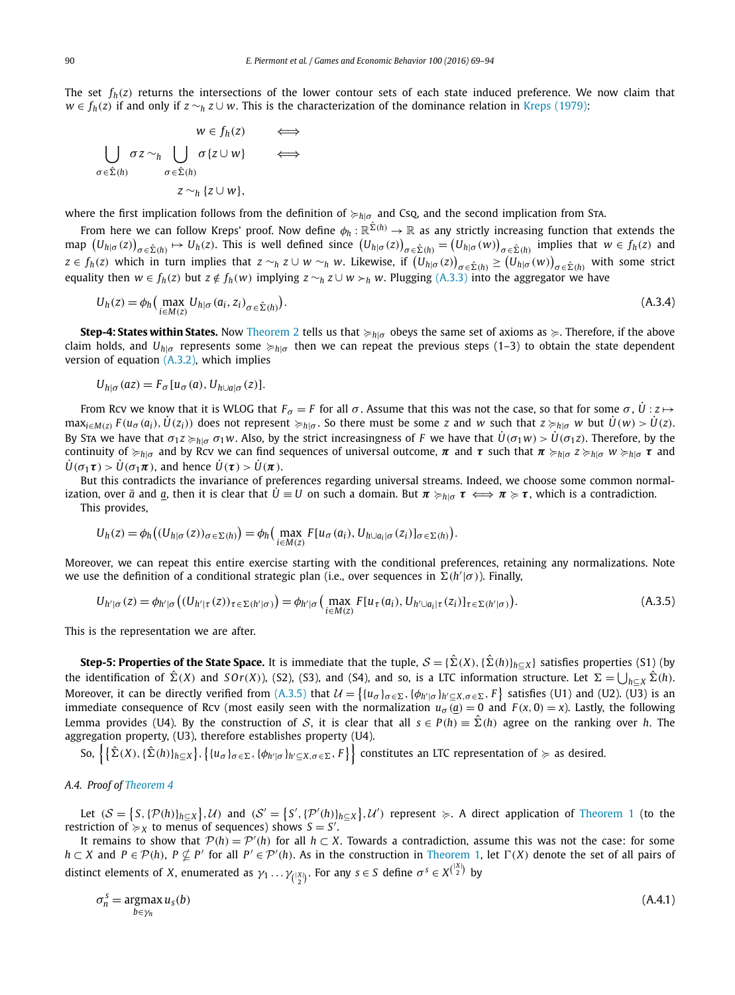The set  $f_h(z)$  returns the intersections of the lower contour sets of each state induced preference. We now claim that *w* ∈ *f<sub>h</sub>*(*z*) if and only if  $z \sim_h z \cup w$ . This is the characterization of the dominance relation in [Kreps \(1979\):](#page-25-0)

$$
w \in f_h(z) \qquad \Longleftrightarrow
$$
  

$$
\bigcup_{\sigma \in \hat{\Sigma}(h)} \sigma z \sim_h \bigcup_{\sigma \in \hat{\Sigma}(h)} \sigma \{z \cup w\} \qquad \Longleftrightarrow
$$
  

$$
z \sim_h \{z \cup w\},
$$

where the first implication follows from the definition of  $\succ_{h|\sigma}$  and CsQ, and the second implication from Sτ<mark>A</mark>.

From here we can follow Kreps' proof. Now define  $\phi_h : \mathbb{R}^{\hat{\Sigma}(h)} \to \mathbb{R}$  as any strictly increasing function that extends the map  $(U_{h|\sigma}(z))_{\sigma \in \hat{\Sigma}(h)} \mapsto U_h(z)$ . This is well defined since  $(U_{h|\sigma}(z))_{\sigma \in \hat{\Sigma}(h)} = (U_{h|\sigma}(w))_{\sigma \in \hat{\Sigma}(h)}$  implies that  $w \in f_h(z)$  and  $z\in f_h(z)$  which in turn implies that  $z\sim_h z\cup w\sim_h w$ . Likewise, if  $(U_{h|\sigma}(z))_{\sigma\in \hat{\Sigma}(h)}\geq (U_{h|\sigma}(w))_{\sigma\in \hat{\Sigma}(h)}$  with some strict equality then  $w \in f_h(z)$  but  $z \notin f_h(w)$  implying  $z \sim_h z \cup w \succ_h w$ . Plugging [\(A.3.3\)](#page-20-0) into the aggregator we have

$$
U_h(z) = \phi_h\left(\max_{i \in M(z)} U_{h|\sigma}(a_i, z_i)_{\sigma \in \hat{\Sigma}(h)}\right).
$$
 (A.3.4)

**Step-4: States within States.** Now [Theorem 2](#page-11-0) tells us that  $\succcurlyeq_{h|\sigma}$  obeys the same set of axioms as  $\succcurlyeq$ . Therefore, if the above claim holds, and U<sub>h|σ</sub> represents some  $\succcurlyeq_{h|\sigma}$  then we can repeat the previous steps (1–3) to obtain the state dependent version of equation [\(A.3.2\),](#page-20-0) which implies

$$
U_{h|\sigma}(az) = F_{\sigma}[u_{\sigma}(a), U_{h\cup a|\sigma}(z)].
$$

From Rcv we know that it is WLOG that  $F_\sigma = F$  for all *σ*. Assume that this was not the case, so that for some *σ*, *U* ∶ *z* →  $\max_{i\in M(z)} F(u_{\sigma}(a_i), \dot{U}(z_i))$  does not represent  $\succcurlyeq_{h|\sigma}$ . So there must be some z and w such that  $z\succcurlyeq_{h|\sigma} w$  but  $\dot{U}(w) > \dot{U}(z)$ . By STA we have that  $\sigma_1 z \succ_{h|\sigma} \sigma_1 w$ . Also, by the strict increasingness of F we have that  $\dot{U}(\sigma_1 w) > \dot{U}(\sigma_1 z)$ . Therefore, by the continuity of -*<sup>h</sup>*|*<sup>σ</sup>* and by Rcv we can find sequences of universal outcome, *π* and *τ* such that *π* -*<sup>h</sup>*|*σ z* -*<sup>h</sup>*|*σ w* -*<sup>h</sup>*|*<sup>σ</sup> τ* and  $U(\sigma_1 \tau) > U(\sigma_1 \pi)$ , and hence  $U(\tau) > U(\pi)$ .

But this contradicts the invariance of preferences regarding universal streams. Indeed, we choose some common normalization, over  $\bar a$  and <u>a,</u> then it is clear that  $\dot U\equiv U$  on such a domain. But  $\pi\succcurlyeq_{h|\sigma}\tau\iff\pi\succcurlyeq\tau$ , which is a contradiction. This provides,

$$
U_h(z) = \phi_h\big((U_{h|\sigma}(z))_{\sigma \in \Sigma(h)}\big) = \phi_h\big(\max_{i \in M(z)} F[u_{\sigma}(a_i), U_{h \cup a_i | \sigma}(z_i)]_{\sigma \in \Sigma(h)}\big).
$$

Moreover, we can repeat this entire exercise starting with the conditional preferences, retaining any normalizations. Note we use the definition of a conditional strategic plan (i.e., over sequences in  $\Sigma(h'|\sigma)$ ). Finally,

$$
U_{h'|\sigma}(z) = \phi_{h'|\sigma}\big((U_{h'|\tau}(z))_{\tau \in \Sigma(h'|\sigma)}\big) = \phi_{h'|\sigma}\big(\max_{i \in M(z)} F[u_\tau(a_i), U_{h' \cup a_i|\tau}(z_i)]_{\tau \in \Sigma(h'|\sigma)}\big).
$$
\n(A.3.5)

This is the representation we are after.

**Step-5: Properties of the State Space.** It is immediate that the tuple,  $S = {\hat{\Sigma}(X), {\hat{\Sigma}(h)}_{h \subset X}}$  satisfies properties (S1) (by the identification of  $\hat{\Sigma}(X)$  and  $SOr(X)$ ), (S2), (S3), and (S4), and so, is a LTC information structure. Let  $\Sigma = \bigcup_{h \subseteq X} \hat{\Sigma}(h)$ . Moreover, it can be directly verified from  $(A.3.5)$  that  $\mathcal{U} = \{(u_{\sigma}\}_{\sigma \in \Sigma}, \{\phi_{h'|\sigma}\}_{h' \subseteq X, \sigma \in \Sigma}, F\}$  satisfies (U1) and (U2). (U3) is an immediate consequence of Rcv (most easily seen with the normalization  $u_{\sigma}(a) = 0$  and  $F(x, 0) = x$ ). Lastly, the following Lemma provides (U4). By the construction of S, it is clear that all  $s \in P(h) \equiv \hat{\Sigma}(h)$  agree on the ranking over *h*. The aggregation property, (U3), therefore establishes property (U4).

So,  $\left\{\{\hat{\Sigma}(X),\{\hat{\Sigma}(h)\}_{h\subseteq X}\},\{(u_\sigma\}_{\sigma\in\Sigma},\{\phi_{h'|\sigma}\}_{h'\subseteq X,\sigma\in\Sigma},F\}\right\}$  constitutes an LTC representation of  $\succcurlyeq$  as desired.

#### *A.4. Proof of [Theorem 4](#page-13-0)*

Let  $(S = \{S, \{\mathcal{P}(h)\}_{h \subseteq X}\}, \mathcal{U})$  and  $(S' = \{S', \{\mathcal{P}'(h)\}_{h \subseteq X}\}, \mathcal{U}')$  represent  $\succcurlyeq$ . A direct application of [Theorem 1](#page-3-0) (to the restriction of  $\succcurlyeq_X$  to menus of sequences) shows  $S = S'$ .

It remains to show that  $P(h) = P'(h)$  for all  $h \subset X$ . Towards a contradiction, assume this was not the case: for some  $h \subset X$  and  $P \in \mathcal{P}(h)$ ,  $P \nsubseteq P'$  for all  $P' \in \mathcal{P}'(h)$ . As in the construction in [Theorem 1,](#page-3-0) let  $\Gamma(X)$  denote the set of all pairs of distinct elements of *X*, enumerated as  $\gamma_1 \ldots \gamma_{\binom{|X|}{2}}$ . For any  $s \in S$  define  $\sigma^s \in X^{[\frac{|X|}{2})}$  by

$$
\sigma_n^s = \underset{b \in \gamma_n}{\text{argmax}} \, u_s(b) \tag{A.4.1}
$$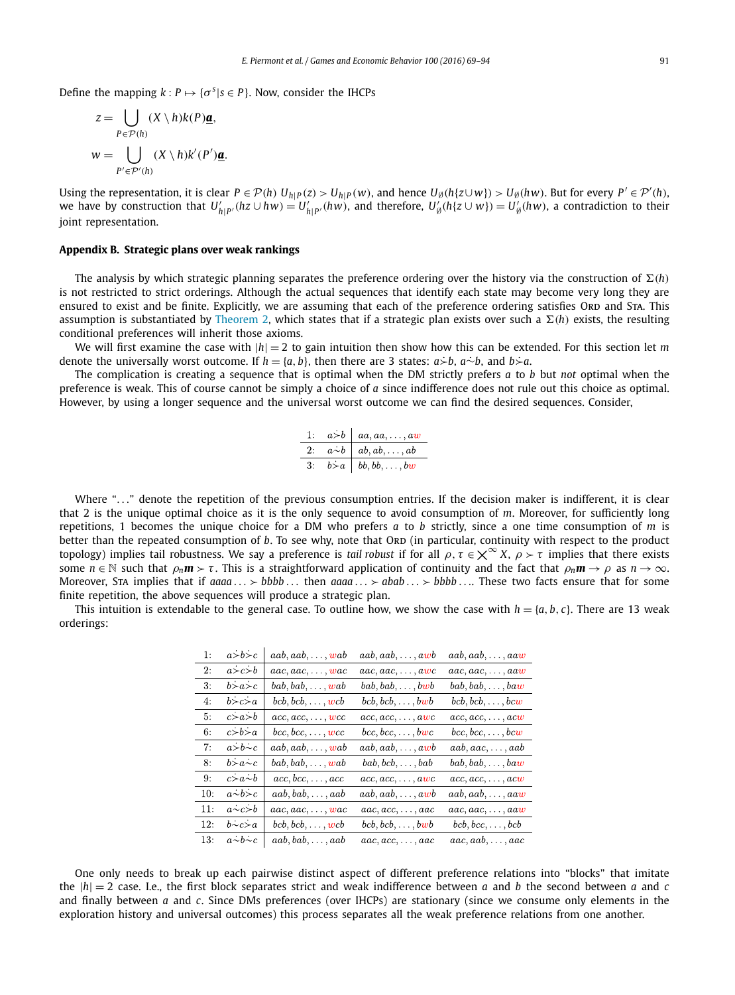<span id="page-22-0"></span>Define the mapping  $k: P \mapsto \{\sigma^s | s \in P\}$ . Now, consider the IHCPs

$$
z = \bigcup_{P \in \mathcal{P}(h)} (X \setminus h)k(P)\underline{\mathbf{a}},
$$
  

$$
w = \bigcup_{P' \in \mathcal{P}'(h)} (X \setminus h)k'(P')\underline{\mathbf{a}}.
$$

Using the representation, it is clear  $P \in \mathcal{P}(h)$   $U_{h|P}(z) > U_{h|P}(w)$ , and hence  $U_{\emptyset}(h(z \cup w)) > U_{\emptyset}(hw)$ . But for every  $P' \in \mathcal{P}'(h)$ , we have by construction that  $U'_{h|P'}(hz\cup hw)=U'_{h|P'}(hw)$ , and therefore,  $U'_\emptyset(h\{z\cup w\})=U'_\emptyset(hw)$ , a contradiction to their joint representation.

#### **Appendix B. Strategic plans over weak rankings**

The analysis by which strategic planning separates the preference ordering over the history via the construction of  $\Sigma(h)$ is not restricted to strict orderings. Although the actual sequences that identify each state may become very long they are ensured to exist and be finite. Explicitly, we are assuming that each of the preference ordering satisfies ORD and STA. This assumption is substantiated by [Theorem 2,](#page-11-0) which states that if a strategic plan exists over such a  $\Sigma(h)$  exists, the resulting conditional preferences will inherit those axioms.

We will first examine the case with  $|h| = 2$  to gain intuition then show how this can be extended. For this section let *m* denote the universally worst outcome. If  $h = {a, b}$ , then there are 3 states:  $a \nsucc b$ ,  $a \nsucc b$ , and  $b \nsucc a$ .

The complication is creating a sequence that is optimal when the DM strictly prefers *a* to *b* but *not* optimal when the preference is weak. This of course cannot be simply a choice of *a* since indifference does not rule out this choice as optimal. However, by using a longer sequence and the universal worst outcome we can find the desired sequences. Consider,

|  | $a>b \mid aa, aa, \ldots, aw$      |
|--|------------------------------------|
|  | $a \sim b \mid ab, ab, \ldots, ab$ |
|  | $b>a \mid bb, bb, \ldots, bw$      |

Where "*...*" denote the repetition of the previous consumption entries. If the decision maker is indifferent, it is clear that 2 is the unique optimal choice as it is the only sequence to avoid consumption of *m*. Moreover, for sufficiently long repetitions, 1 becomes the unique choice for a DM who prefers *a* to *b* strictly, since a one time consumption of *m* is better than the repeated consumption of *b*. To see why, note that OrD (in particular, continuity with respect to the product topology) implies tail robustness. We say a preference is *tail robust* if for all  $\rho, \tau \in \times^{\infty} X, \rho > \tau$  implies that there exists some  $n \in \mathbb{N}$  such that  $\rho_n \mathbf{m} > \tau$ . This is a straightforward application of continuity and the fact that  $\rho_n \mathbf{m} \to \rho$  as  $n \to \infty$ . Moreover, Sta implies that if  $aaaa \dots \succ bbbb$ ... then  $aaaa \dots \succ abab \dots \succ bbbb$ ... These two facts ensure that for some finite repetition, the above sequences will produce a strategic plan.

This intuition is extendable to the general case. To outline how, we show the case with  $h = \{a, b, c\}$ . There are 13 weak orderings:

| 1:  | a > b > c         | $aab, aab, \ldots, wab$ | $aab, aab, \ldots, awb$ | $aab, aab, \ldots, aaw$           |
|-----|-------------------|-------------------------|-------------------------|-----------------------------------|
| 2:  | a>c>b             | $aac,aac,\ldots, wac$   | $aac,aac,\ldots,awc$    | $aac,aac,\ldots,aa{\color{red}w}$ |
| 3:  | b > a > c         | $bab, bab, \ldots, wab$ | $bab, bab, \ldots, bwb$ | $bab, bab, \ldots, baw$           |
| 4:  | b>c>a             | $bcb, bcb, \ldots, wcb$ | $bcb, bcb, \ldots, bwb$ | $bcb, bcb, \ldots, bcw$           |
| 5:  | c > a > b         | $acc, acc, \ldots, wcc$ | $acc, acc, \ldots, awc$ | $acc, acc, \ldots, acw$           |
| 6:  | c > b > a         | $bcc, bcc, \ldots, wcc$ | $bcc, bcc, \ldots, bwc$ | $bcc, bcc, \ldots, bcw$           |
| 7:  | $a > b \sim c$    | $aab, aab, \ldots, wab$ | $aab, aab, \ldots, awb$ | $aab, aac, \ldots, aab$           |
| 8:  | $b > a \sim c$    | $bab, bab, \ldots, wab$ | $bab, bcb, \ldots, bab$ | $bab, bab, \ldots, baw$           |
| 9:  | $c > a \sim b$    | $acc, bcc, \ldots, acc$ | $acc, acc, \ldots, awc$ | $acc, acc, \ldots, acw$           |
| 10: | $a \sim b \sim c$ | $aab, bab, \ldots, aab$ | $aab, aab, \ldots, awb$ | $aab, aab, \ldots, aaw$           |
| 11: | $a \sim c > b$    | $aac,aac,\ldots, wac$   | $aac, acc, \ldots,aac$  | $aac,aac,\ldots, aaw$             |
| 12: | $b \sim c > a$    | $bcb, bcb, \ldots, wcb$ | $bcb, bcb, \ldots, bwb$ | $bcb, bcc, \ldots, bcb$           |
| 13: | $a \sim b \sim c$ | $aab, bab, \ldots, aab$ | $aac, acc, \ldots,aac$  | $aac, aab, \ldots, aac$           |

One only needs to break up each pairwise distinct aspect of different preference relations into "blocks" that imitate the  $|h| = 2$  case. I.e., the first block separates strict and weak indifference between *a* and *b* the second between *a* and *c* and finally between *a* and *c*. Since DMs preferences (over IHCPs) are stationary (since we consume only elements in the exploration history and universal outcomes) this process separates all the weak preference relations from one another.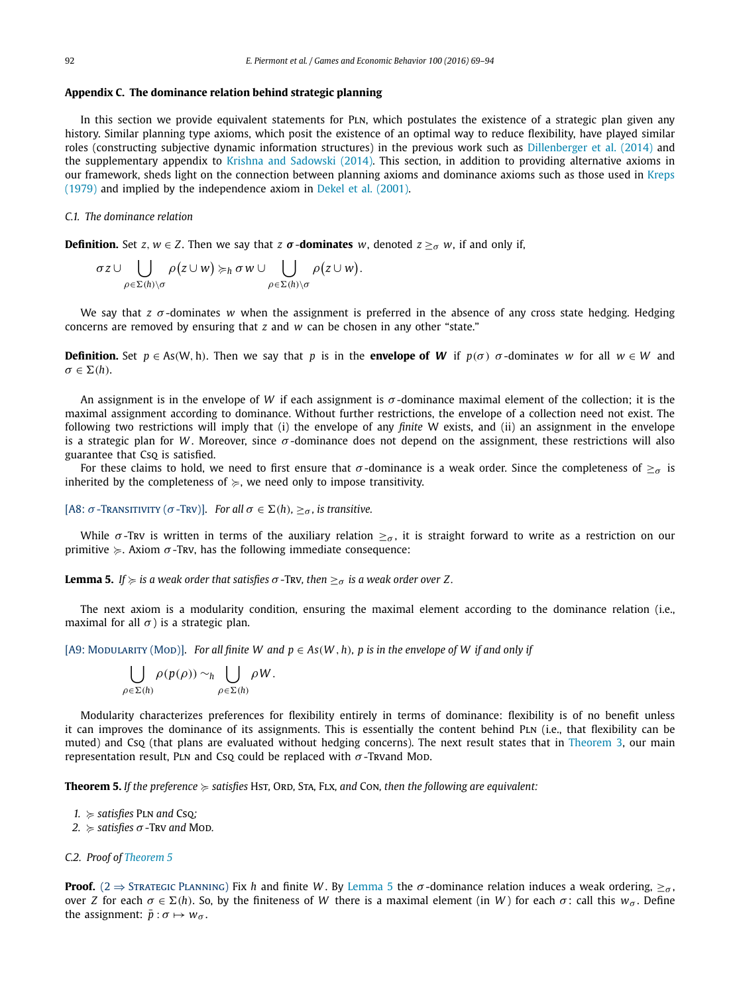#### <span id="page-23-0"></span>**Appendix C. The dominance relation behind strategic planning**

In this section we provide equivalent statements for PLN, which postulates the existence of a strategic plan given any history. Similar planning type axioms, which posit the existence of an optimal way to reduce flexibility, have played similar roles (constructing subjective dynamic information structures) in the previous work such as [Dillenberger](#page-25-0) et al. (2014) and the supplementary appendix to Krishna and [Sadowski \(2014\).](#page-25-0) This section, in addition to providing alternative axioms in our framework, sheds light on the connection between planning axioms and dominance axioms such as those used in [Kreps](#page-25-0) [\(1979\)](#page-25-0) and implied by the independence axiom in Dekel et [al. \(2001\).](#page-25-0)

### *C.1. The dominance relation*

**Definition.** Set *z*,  $w \in Z$ . Then we say that *z*  $\sigma$ -**dominates** *w*, denoted  $z \geq_\sigma w$ , if and only if,

$$
\sigma z \cup \bigcup_{\rho \in \Sigma(h) \setminus \sigma} \rho(z \cup w) \succcurlyeq_h \sigma w \cup \bigcup_{\rho \in \Sigma(h) \setminus \sigma} \rho(z \cup w).
$$

We say that *z σ* -dominates *w* when the assignment is preferred in the absence of any cross state hedging. Hedging concerns are removed by ensuring that *z* and *w* can be chosen in any other "state."

**Definition.** Set  $p \in As(W, h)$ . Then we say that *p* is in the **envelope of** *W* if  $p(\sigma)$  *σ*-dominates *w* for all  $w \in W$  and  $\sigma \in \Sigma(h)$ .

An assignment is in the envelope of *W* if each assignment is  $\sigma$ -dominance maximal element of the collection; it is the maximal assignment according to dominance. Without further restrictions, the envelope of a collection need not exist. The following two restrictions will imply that (i) the envelope of any *finite* W exists, and (ii) an assignment in the envelope is a strategic plan for *W* . Moreover, since *σ* -dominance does not depend on the assignment, these restrictions will also guarantee that Csq is satisfied.

For these claims to hold, we need to first ensure that  $\sigma$ -dominance is a weak order. Since the completeness of  $\geq_{\sigma}$  is inherited by the completeness of  $\succcurlyeq$ , we need only to impose transitivity.

[A8:  $\sigma$ -Transitivity ( $\sigma$ -Trv)]. *For all*  $\sigma \in \Sigma(h)$ ,  $\geq_{\sigma}$ , *is transitive.* 

While  $\sigma$ -Trv is written in terms of the auxiliary relation  $\geq_{\sigma}$ , it is straight forward to write as a restriction on our primitive  $\succcurlyeq$ . Axiom  $\sigma$ -Trv, has the following immediate consequence:

 $L$ emma 5. If  $\succcurlyeq$  is a weak order that satisfies  $\sigma$  -Trv, then  $\geq_\sigma$  is a weak order over Z.

The next axiom is a modularity condition, ensuring the maximal element according to the dominance relation (i.e., maximal for all  $\sigma$ ) is a strategic plan.

[A9: MODULARITY (MOD)]. For all finite W and  $p \in As(W, h)$ , p is in the envelope of W if and only if

$$
\bigcup_{\rho \in \Sigma(h)} \rho(p(\rho)) \sim_h \bigcup_{\rho \in \Sigma(h)} \rho W.
$$

Modularity characterizes preferences for flexibility entirely in terms of dominance: flexibility is of no benefit unless it can improves the dominance of its assignments. This is essentially the content behind Pln (i.e., that flexibility can be muted) and CsQ (that plans are evaluated without hedging concerns). The next result states that in [Theorem 3,](#page-13-0) our main representation result, PLN and Cso could be replaced with  $\sigma$ -Trvand Mod.

**Theorem 5.** *If the preference* - *satisfies* Hst*,* Ord*,* Sta*,* Flx*, and* Con*, then the following are equivalent:*

*1.* - *satisfies* Pln *and* Csq*;*

 $2. \succcurlyeq$  *satisfies*  $\sigma$ -Trv *and* Mod.

### *C.2. Proof of Theorem 5*

**Proof.** (2  $\Rightarrow$  STRATEGIC PLANNING) Fix *h* and finite *W*. By Lemma 5 the *σ*-dominance relation induces a weak ordering,  $\geq_{\sigma}$ , over *Z* for each  $σ \in \Sigma(h)$ . So, by the finiteness of *W* there is a maximal element (in *W*) for each *σ* : call this  $w_\sigma$ . Define the assignment:  $\bar{p}$  :  $\sigma \mapsto w_{\sigma}$ .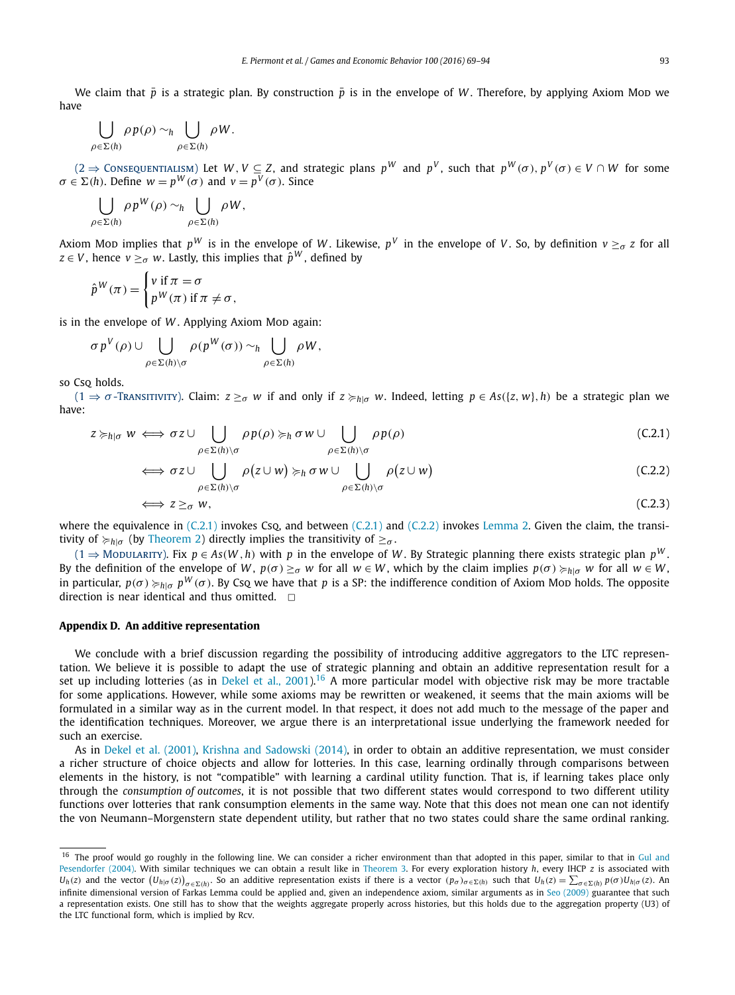<span id="page-24-0"></span>We claim that  $\bar{p}$  is a strategic plan. By construction  $\bar{p}$  is in the envelope of W. Therefore, by applying Axiom Mod we have

$$
\bigcup_{\rho \in \Sigma(h)} \rho p(\rho) \sim_h \bigcup_{\rho \in \Sigma(h)} \rho W.
$$

 $(2 \Rightarrow \text{Consequation})$  Let  $W, V \subseteq Z$ , and strategic plans  $p^W$  and  $p^V$ , such that  $p^W(\sigma), p^V(\sigma) \in V \cap W$  for some  $\sigma \in \Sigma(h)$ . Define  $w = p^W(\sigma)$  and  $v = p^V(\sigma)$ . Since

$$
\bigcup_{\rho \in \Sigma(h)} \rho p^W(\rho) \sim_h \bigcup_{\rho \in \Sigma(h)} \rho W,
$$

Axiom Mop implies that  $p^W$  is in the envelope of W. Likewise,  $p^V$  in the envelope of V. So, by definition  $v > \sigma z$  for all  $z \in V$ , hence  $v >_{\sigma} w$ . Lastly, this implies that  $\hat{p}^{W}$ , defined by

$$
\hat{p}^W(\pi) = \begin{cases} v \text{ if } \pi = \sigma \\ p^W(\pi) \text{ if } \pi \neq \sigma, \end{cases}
$$

is in the envelope of W. Applying Axiom Mop again:

$$
\sigma p^{V}(\rho) \cup \bigcup_{\rho \in \Sigma(h) \setminus \sigma} \rho(p^{W}(\sigma)) \sim_h \bigcup_{\rho \in \Sigma(h)} \rho W,
$$

so Csq holds.

 $(1 \Rightarrow \sigma$ -Transitivity). Claim:  $z \geq_{\sigma} w$  if and only if  $z \succcurlyeq_{h|\sigma} w$ . Indeed, letting  $p \in As(\{z,w\},h)$  be a strategic plan we have:

$$
z \succcurlyeq_{h|\sigma} w \iff \sigma z \cup \bigcup_{\rho \in \Sigma(h)\setminus \sigma} \rho p(\rho) \succcurlyeq_h \sigma w \cup \bigcup_{\rho \in \Sigma(h)\setminus \sigma} \rho p(\rho) \tag{C.2.1}
$$

$$
\iff \sigma z \cup \bigcup_{\rho \in \Sigma(h) \setminus \sigma} \rho(z \cup w) \succcurlyeq_h \sigma w \cup \bigcup_{\rho \in \Sigma(h) \setminus \sigma} \rho(z \cup w) \tag{C.2.2}
$$

$$
\iff z \geq_{\sigma} w, \tag{C.2.3}
$$

where the equivalence in (C.2.1) invokes Csq, and between (C.2.1) and (C.2.2) invokes [Lemma 2.](#page-15-0) Given the claim, the transitivity of  $\succcurlyeq_{h|\sigma}$  (by [Theorem 2\)](#page-11-0) directly implies the transitivity of  $\geq_{\sigma}$ .

 $(1 \Rightarrow \text{MonularITY})$ . Fix  $p \in As(W, h)$  with p in the envelope of W. By Strategic planning there exists strategic plan  $p^W$ . By the definition of the envelope of *W*,  $p(\sigma) \geq_{\sigma} w$  for all  $w \in W$ , which by the claim implies  $p(\sigma) \succcurlyeq_{h|\sigma} w$  for all  $w \in W$ , in particular,  $p(\sigma)\succcurlyeq_{h|\sigma}p^W(\sigma).$  By Csq we have that  $p$  is a SP: the indifference condition of Axiom Mob holds. The opposite direction is near identical and thus omitted.  $\Box$ 

#### **Appendix D. An additive representation**

We conclude with a brief discussion regarding the possibility of introducing additive aggregators to the LTC representation. We believe it is possible to adapt the use of strategic planning and obtain an additive representation result for a set up including lotteries (as in [Dekel](#page-25-0) et al., 2001).<sup>16</sup> A more particular model with objective risk may be more tractable for some applications. However, while some axioms may be rewritten or weakened, it seems that the main axioms will be formulated in a similar way as in the current model. In that respect, it does not add much to the message of the paper and the identification techniques. Moreover, we argue there is an interpretational issue underlying the framework needed for such an exercise.

As in Dekel et [al. \(2001\),](#page-25-0) Krishna and [Sadowski \(2014\),](#page-25-0) in order to obtain an additive representation, we must consider a richer structure of choice objects and allow for lotteries. In this case, learning ordinally through comparisons between elements in the history, is not "compatible" with learning a cardinal utility function. That is, if learning takes place only through the *consumption of outcomes*, it is not possible that two different states would correspond to two different utility functions over lotteries that rank consumption elements in the same way. Note that this does not mean one can not identify the von Neumann–Morgenstern state dependent utility, but rather that no two states could share the same ordinal ranking.

<sup>&</sup>lt;sup>16</sup> The proof would go roughly in the following line. We can consider a richer environment than that adopted in this paper, similar to that in Gul [and](#page-25-0) [Pesendorfer \(2004\).](#page-25-0) With similar techniques we can obtain a result like in [Theorem 3.](#page-13-0) For every exploration history *h*, every IHCP *z* is associated with  $U_h(z)$  and the vector  $(U_{h|\sigma}(z))_{\sigma \in \Sigma(h)}$ . So an additive representation exists if there is a vector  $(p_\sigma)_{\sigma \in \Sigma(h)}$  such that  $U_h(z) = \sum_{\sigma \in \Sigma(h)} p(\sigma)U_{h|\sigma}(z)$ . An infinite dimensional version of Farkas Lemma could be applied and, given an independence axiom, similar arguments as in [Seo \(2009\)](#page-25-0) guarantee that such a representation exists. One still has to show that the weights aggregate properly across histories, but this holds due to the aggregation property (U3) of the LTC functional form, which is implied by Rcv.